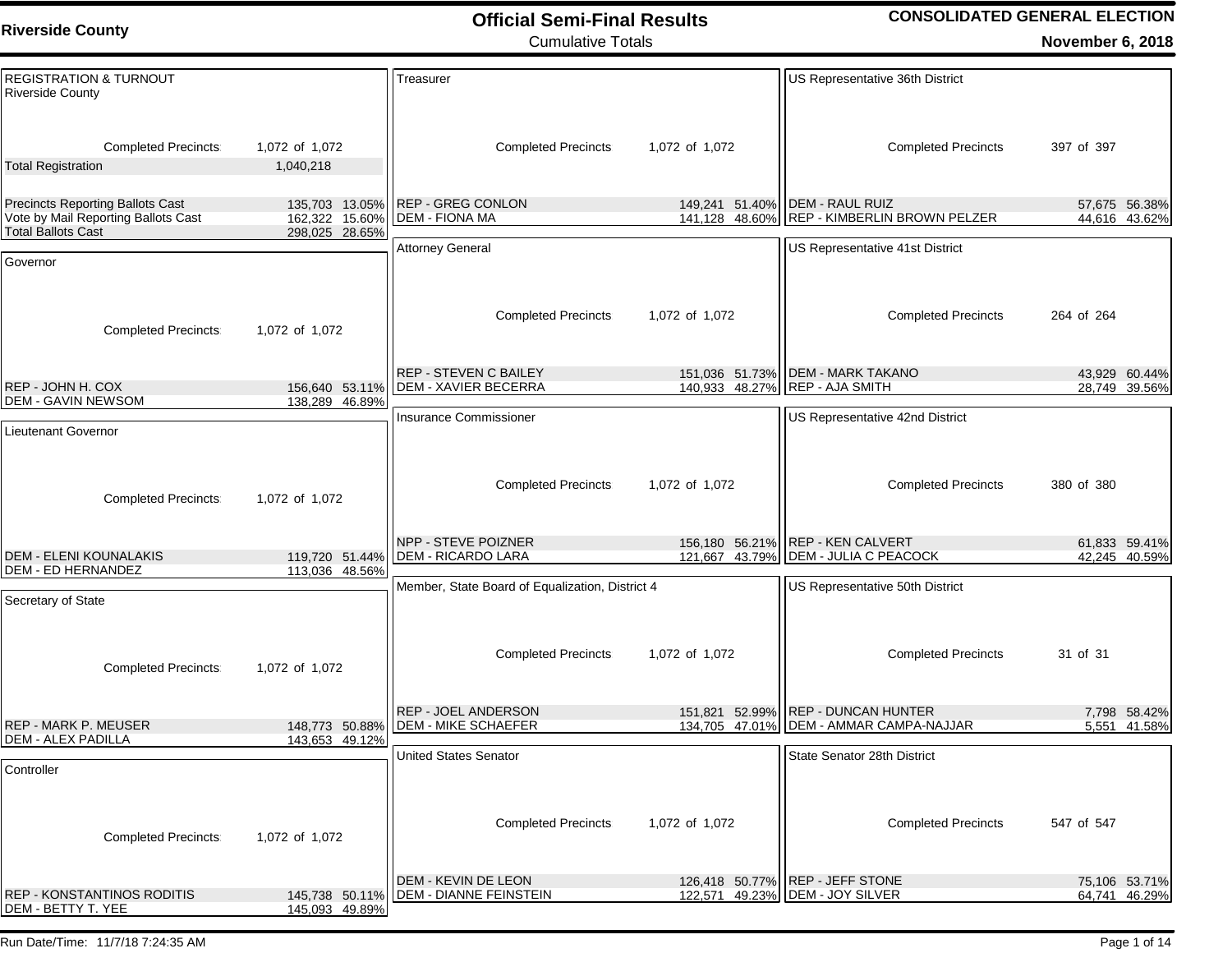**Riverside County**

### **Official Semi-Final Results CONSOLIDATED GENERAL ELECTION November 6, 2018**

Cumulative Totals

| <b>REGISTRATION &amp; TURNOUT</b><br><b>Riverside County</b>                                                |                                                    | Treasurer                                                   |                | US Representative 36th District                                                 |                                |
|-------------------------------------------------------------------------------------------------------------|----------------------------------------------------|-------------------------------------------------------------|----------------|---------------------------------------------------------------------------------|--------------------------------|
| <b>Completed Precincts:</b><br><b>Total Registration</b>                                                    | 1,072 of 1,072<br>1,040,218                        | <b>Completed Precincts:</b>                                 | 1,072 of 1,072 | <b>Completed Precincts:</b>                                                     | 397 of 397                     |
| <b>Precincts Reporting Ballots Cast</b><br>Vote by Mail Reporting Ballots Cast<br><b>Total Ballots Cast</b> | 135,703 13.05%<br>162,322 15.60%<br>298,025 28.65% | <b>REP - GREG CONLON</b><br><b>DEM - FIONA MA</b>           |                | 149,241 51.40% DEM - RAUL RUIZ<br>141,128 48.60% REP - KIMBERLIN BROWN PELZER   | 57,675 56.38%<br>44,616 43.62% |
| Governor                                                                                                    |                                                    | <b>Attorney General</b>                                     |                | US Representative 41st District                                                 |                                |
| <b>Completed Precincts</b>                                                                                  | 1,072 of 1,072                                     | <b>Completed Precincts:</b>                                 | 1,072 of 1,072 | <b>Completed Precincts:</b>                                                     | 264 of 264                     |
|                                                                                                             |                                                    | <b>REP - STEVEN C BAILEY</b>                                |                | 151,036 51.73% DEM - MARK TAKANO                                                | 43,929 60.44%                  |
| REP - JOHN H. COX<br><b>DEM - GAVIN NEWSOM</b>                                                              | 156,640 53.11%<br>138,289 46.89%                   | <b>DEM - XAVIER BECERRA</b>                                 |                | 140,933 48.27% REP - AJA SMITH                                                  | 28,749 39.56%                  |
| Lieutenant Governor                                                                                         |                                                    | Insurance Commissioner                                      |                | US Representative 42nd District                                                 |                                |
| <b>Completed Precincts</b>                                                                                  | 1,072 of 1,072                                     | <b>Completed Precincts:</b>                                 | 1,072 of 1,072 | <b>Completed Precincts:</b>                                                     | 380 of 380                     |
| <b>DEM - ELENI KOUNALAKIS</b>                                                                               | 119,720 51.44%                                     | NPP - STEVE POIZNER<br><b>DEM - RICARDO LARA</b>            |                | 156,180 56.21% REP - KEN CALVERT<br>121,667 43.79%   DEM - JULIA C PEACOCK      | 61,833 59.41%<br>42,245 40.59% |
| DEM - ED HERNANDEZ                                                                                          | 113,036 48.56%                                     |                                                             |                |                                                                                 |                                |
| Secretary of State                                                                                          |                                                    | Member, State Board of Equalization, District 4             |                | US Representative 50th District                                                 |                                |
| <b>Completed Precincts</b>                                                                                  | 1,072 of 1,072                                     | <b>Completed Precincts:</b>                                 | 1,072 of 1,072 | <b>Completed Precincts:</b>                                                     | 31 of 31                       |
| <b>REP - MARK P. MEUSER</b>                                                                                 | 148,773 50.88%                                     | <b>REP - JOEL ANDERSON</b><br><b>DEM - MIKE SCHAEFER</b>    |                | 151,821 52.99% REP - DUNCAN HUNTER<br>134,705 47.01%   DEM - AMMAR CAMPA-NAJJAR | 7,798 58.42%<br>5,551 41.58%   |
| DEM - ALEX PADILLA                                                                                          | 143,653 49.12%                                     |                                                             |                |                                                                                 |                                |
| Controller<br><b>Completed Precincts:</b>                                                                   | 1,072 of 1,072                                     | <b>United States Senator</b><br><b>Completed Precincts:</b> | 1,072 of 1,072 | State Senator 28th District<br><b>Completed Precincts:</b>                      | 547 of 547                     |
| REP - KONSTANTINOS RODITIS                                                                                  | 145,738 50.11%                                     | <b>DEM - KEVIN DE LEON</b><br><b>DEM - DIANNE FEINSTEIN</b> |                | 126,418 50.77% REP - JEFF STONE<br>122,571 49.23% DEM - JOY SILVER              | 75,106 53.71%<br>64,741 46.29% |
| DEM - BETTY T. YEE                                                                                          | 145,093 49.89%                                     |                                                             |                |                                                                                 |                                |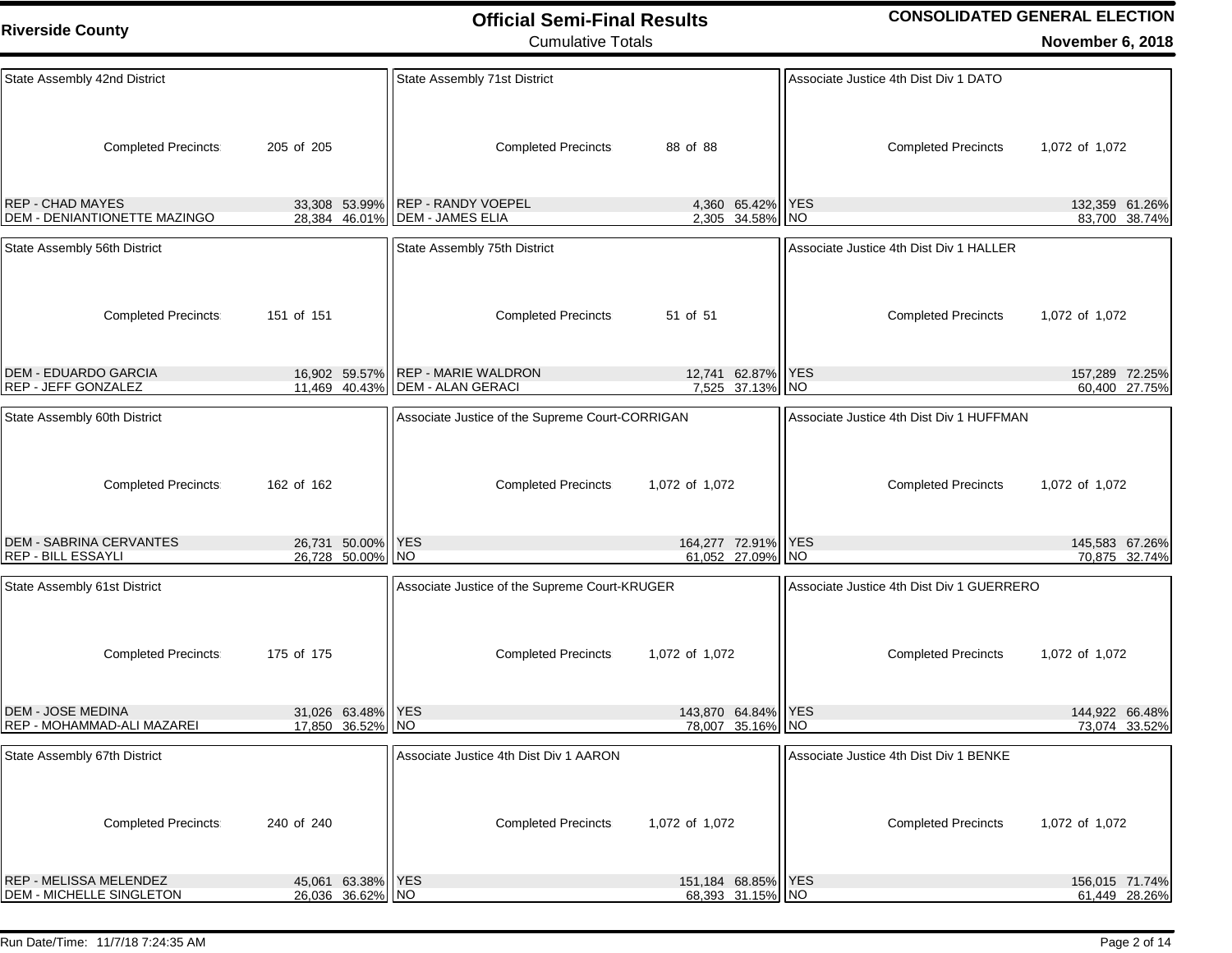| <b>Riverside County</b>                                 |                                       | UIIICIAI JEIIII-FIIIAI KESUITS<br><b>Cumulative Totals</b> |                                        | וטהו טבואבו לאנו בבבט ווטו<br>November 6, 2018 |                                 |  |
|---------------------------------------------------------|---------------------------------------|------------------------------------------------------------|----------------------------------------|------------------------------------------------|---------------------------------|--|
| State Assembly 42nd District                            |                                       | State Assembly 71st District                               |                                        | Associate Justice 4th Dist Div 1 DATO          |                                 |  |
| <b>Completed Precincts</b>                              | 205 of 205                            | <b>Completed Precincts</b>                                 | 88 of 88                               | <b>Completed Precincts</b>                     | 1,072 of 1,072                  |  |
| <b>REP - CHAD MAYES</b><br>DEM - DENIANTIONETTE MAZINGO | 33,308 53.99%<br>28,384 46.01%        | <b>REP - RANDY VOEPEL</b><br><b>DEM - JAMES ELIA</b>       | 4,360 65.42%<br>2,305 34.58%           | <b>YES</b><br><b>NO</b>                        | 132,359 61.26%<br>83,700 38.74% |  |
| State Assembly 56th District                            |                                       | State Assembly 75th District                               |                                        | Associate Justice 4th Dist Div 1 HALLER        |                                 |  |
| <b>Completed Precincts:</b>                             | 151 of 151                            | <b>Completed Precincts</b>                                 | 51 of 51                               | <b>Completed Precincts:</b>                    | 1,072 of 1,072                  |  |
| <b>DEM - EDUARDO GARCIA</b><br>REP - JEFF GONZALEZ      | 16,902 59.57%<br>11,469 40.43%        | <b>REP - MARIE WALDRON</b><br><b>DEM - ALAN GERACI</b>     | 12,741 62.87%<br>7,525 37.13%          | <b>YES</b><br><b>NO</b>                        | 157,289 72.25%<br>60,400 27.75% |  |
| State Assembly 60th District                            |                                       | Associate Justice of the Supreme Court-CORRIGAN            |                                        | Associate Justice 4th Dist Div 1 HUFFMAN       |                                 |  |
| <b>Completed Precincts</b>                              | 162 of 162                            | <b>Completed Precincts</b>                                 | 1,072 of 1,072                         | <b>Completed Precincts</b>                     | 1,072 of 1,072                  |  |
| <b>DEM - SABRINA CERVANTES</b><br>REP - BILL ESSAYLI    | 26,731 50.00%<br>26,728 50.00%        | <b>YES</b><br><b>NO</b>                                    | 164,277 72.91%<br>61,052 27.09%        | <b>YES</b><br><b>NO</b>                        | 145,583 67.26%<br>70,875 32.74% |  |
| State Assembly 61st District                            |                                       | Associate Justice of the Supreme Court-KRUGER              |                                        | Associate Justice 4th Dist Div 1 GUERRERO      |                                 |  |
| <b>Completed Precincts</b>                              | 175 of 175                            | <b>Completed Precincts</b>                                 | 1,072 of 1,072                         | <b>Completed Precincts:</b>                    | 1,072 of 1,072                  |  |
| <b>DEM - JOSE MEDINA</b><br>REP - MOHAMMAD-ALI MAZAREI  | 31,026 63.48% YES<br>17,850 36.52% NO |                                                            | 143,870 64.84% YES<br>78,007 35.16% NO |                                                | 144,922 66.48%<br>73,074 33.52% |  |
| State Assembly 67th District                            |                                       | Associate Justice 4th Dist Div 1 AARON                     |                                        | Associate Justice 4th Dist Div 1 BENKE         |                                 |  |
| <b>Completed Precincts</b>                              | 240 of 240                            | <b>Completed Precincts</b>                                 | 1,072 of 1,072                         | <b>Completed Precincts</b>                     | 1,072 of 1,072                  |  |
| REP - MELISSA MELENDEZ<br>DEM - MICHELLE SINGLETON      | 45,061 63.38% YES<br>26,036 36.62% NO |                                                            | 151,184 68.85% YES<br>68,393 31.15% NO |                                                | 156,015 71.74%<br>61,449 28.26% |  |

**Official Semi-Final Results**

**CONSOLIDATED GENERAL ELECTION**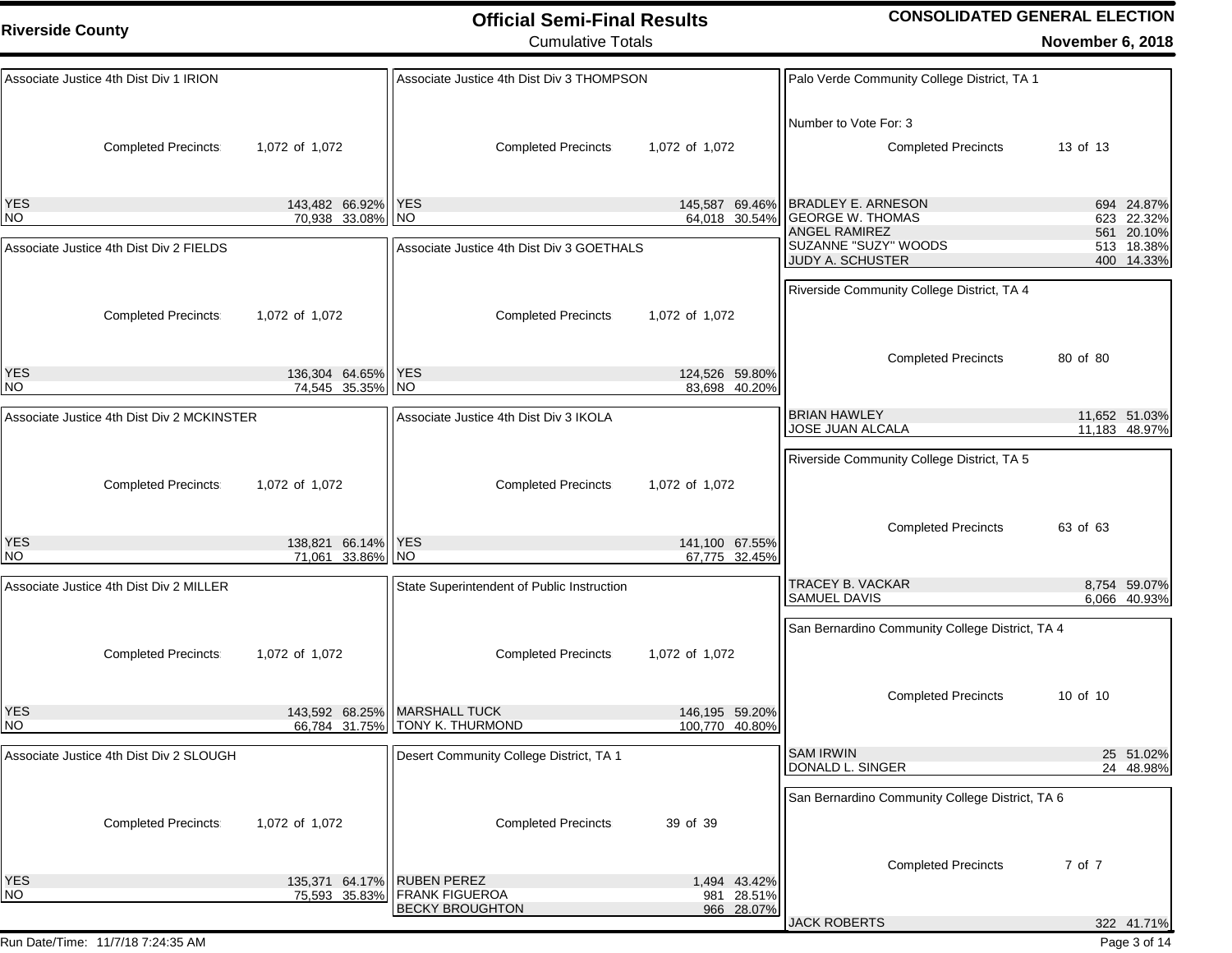| Associate Justice 4th Dist Div 1 IRION                     | Associate Justice 4th Dist Div 3 THOMPSON                                                            | Palo Verde Community College District, TA 1                                        |
|------------------------------------------------------------|------------------------------------------------------------------------------------------------------|------------------------------------------------------------------------------------|
| <b>Completed Precincts</b><br>1,072 of 1,072               | <b>Completed Precincts:</b><br>1,072 of 1,072                                                        | Number to Vote For: 3<br><b>Completed Precincts</b><br>13 of 13                    |
| <b>YES</b><br>143,482 66.92% YES                           | 145,587 69.46%                                                                                       | <b>BRADLEY E. ARNESON</b><br>694 24.87%<br><b>GEORGE W. THOMAS</b>                 |
| 70,938 33.08% NO<br>NO.                                    | 64,018 30.54%                                                                                        | 623 22.32%<br><b>ANGEL RAMIREZ</b>                                                 |
| Associate Justice 4th Dist Div 2 FIELDS                    | Associate Justice 4th Dist Div 3 GOETHALS                                                            | 561 20.10%<br>SUZANNE "SUZY" WOODS<br>513 18.38%<br>JUDY A. SCHUSTER<br>400 14.33% |
| <b>Completed Precincts</b><br>1,072 of 1,072               | <b>Completed Precincts</b><br>1,072 of 1,072                                                         | Riverside Community College District, TA 4                                         |
| <b>YES</b><br>136,304 64.65% YES<br>NO.<br>74,545 35.35%   | 124,526 59.80%<br><b>NO</b><br>83,698 40.20%                                                         | <b>Completed Precincts:</b><br>80 of 80                                            |
| Associate Justice 4th Dist Div 2 MCKINSTER                 | Associate Justice 4th Dist Div 3 IKOLA                                                               | <b>BRIAN HAWLEY</b><br>11.652 51.03%<br>JOSE JUAN ALCALA<br>11,183 48.97%          |
| <b>Completed Precincts:</b><br>1,072 of 1,072              | <b>Completed Precincts</b><br>1,072 of 1,072                                                         | Riverside Community College District, TA 5                                         |
| YES<br>138,821 66.14% YES<br><b>NO</b><br>71,061 33.86% NO | 141,100 67.55%<br>67,775 32.45%                                                                      | <b>Completed Precincts</b><br>63 of 63                                             |
| Associate Justice 4th Dist Div 2 MILLER                    | State Superintendent of Public Instruction                                                           | TRACEY B. VACKAR<br>8,754 59.07%<br>SAMUEL DAVIS<br>6,066 40.93%                   |
| <b>Completed Precincts</b><br>1,072 of 1,072               | <b>Completed Precincts</b><br>1,072 of 1,072                                                         | San Bernardino Community College District, TA 4                                    |
| <b>YES</b><br><b>NO</b><br>66,784 31.75%                   | 143,592 68.25%   MARSHALL TUCK<br>146,195 59.20%<br><b>TONY K. THURMOND</b><br>100,770 40.80%        | <b>Completed Precincts</b><br>10 of 10                                             |
| Associate Justice 4th Dist Div 2 SLOUGH                    | Desert Community College District, TA 1                                                              | <b>SAM IRWIN</b><br>25 51.02%<br>DONALD L. SINGER<br>24 48.98%                     |
|                                                            |                                                                                                      | San Bernardino Community College District, TA 6                                    |
| <b>Completed Precincts:</b><br>1,072 of 1,072              | <b>Completed Precincts:</b><br>39 of 39                                                              | <b>Completed Precincts</b><br>7 of 7                                               |
| <b>YES</b><br>135,371 64.17% RUBEN PEREZ<br><b>NO</b>      | 1,494 43.42%<br>75,593 35.83%   FRANK FIGUEROA<br>981 28.51%<br><b>BECKY BROUGHTON</b><br>966 28.07% |                                                                                    |
|                                                            |                                                                                                      | <b>JACK ROBERTS</b><br>322 41.71%                                                  |
| Run Date/Time: 11/7/18 7:24:35 AM                          |                                                                                                      | Page 3 of 14                                                                       |

Cumulative Totals

**Official Semi-Final Results CONSOLIDATED GENERAL ELECTION November 6, 2018**

**Riverside County**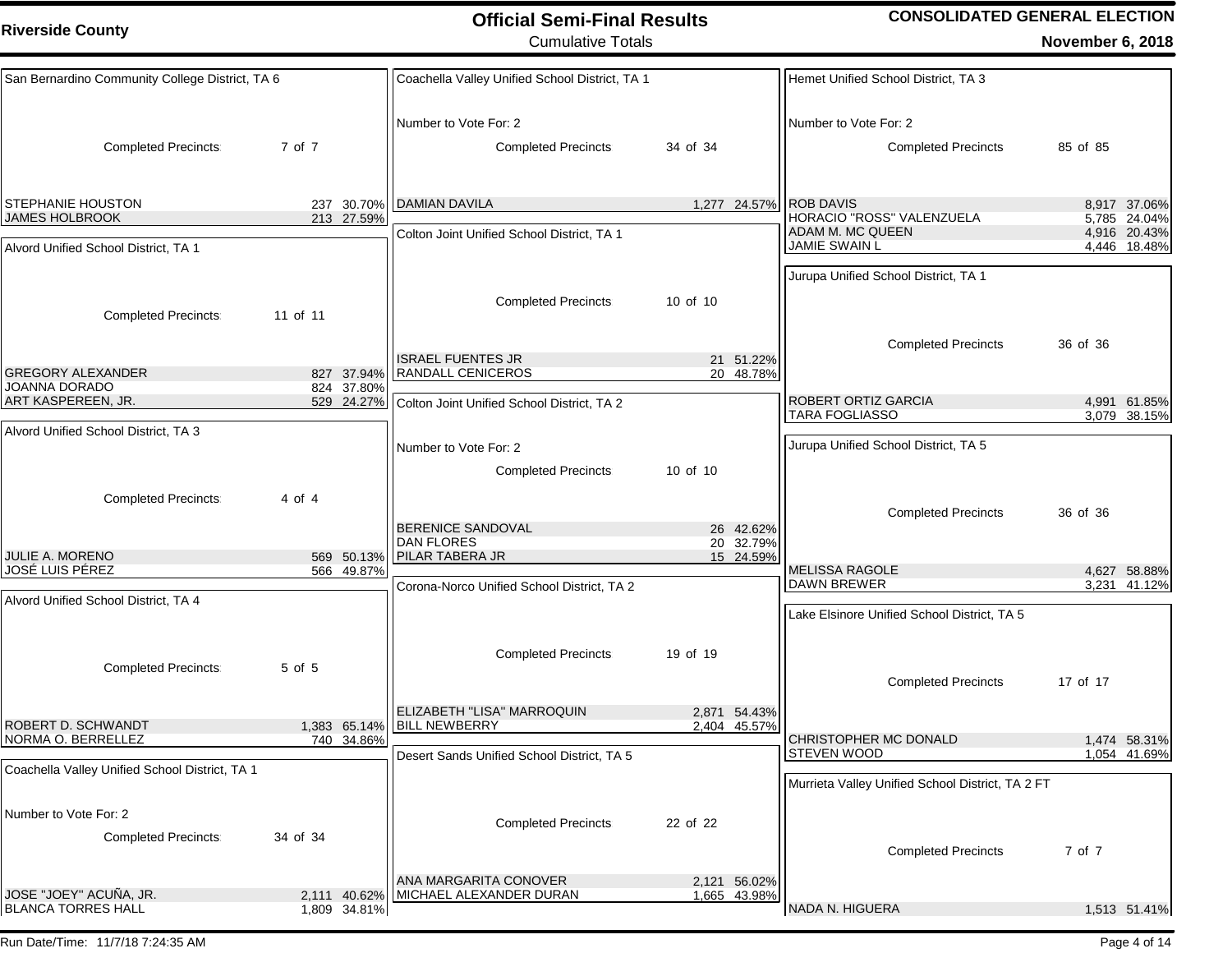|                                                |          |                            | Number to Vote For: 2                                |                              | Number to Vote For: 2                               |          |                              |
|------------------------------------------------|----------|----------------------------|------------------------------------------------------|------------------------------|-----------------------------------------------------|----------|------------------------------|
| <b>Completed Precincts:</b>                    | 7 of 7   |                            | <b>Completed Precincts:</b>                          | 34 of 34                     | <b>Completed Precincts:</b>                         | 85 of 85 |                              |
|                                                |          |                            |                                                      |                              |                                                     |          |                              |
| STEPHANIE HOUSTON                              |          | 237 30.70%                 | <b>DAMIAN DAVILA</b>                                 | 1,277 24.57%                 | <b>ROB DAVIS</b>                                    |          | 8,917 37.06%                 |
| <b>JAMES HOLBROOK</b>                          |          | 213 27.59%                 | Colton Joint Unified School District, TA 1           |                              | HORACIO "ROSS" VALENZUELA<br>ADAM M. MC QUEEN       |          | 5,785 24.04%<br>4,916 20.43% |
| Alvord Unified School District, TA 1           |          |                            |                                                      |                              | <b>JAMIE SWAIN L</b>                                |          | 4,446 18.48%                 |
|                                                |          |                            |                                                      |                              | Jurupa Unified School District, TA 1                |          |                              |
|                                                |          |                            | <b>Completed Precincts:</b>                          | 10 of 10                     |                                                     |          |                              |
| <b>Completed Precincts</b>                     | 11 of 11 |                            |                                                      |                              |                                                     |          |                              |
|                                                |          |                            |                                                      |                              | <b>Completed Precincts</b>                          | 36 of 36 |                              |
| <b>GREGORY ALEXANDER</b>                       |          | 827 37.94%                 | <b>ISRAEL FUENTES JR</b><br><b>RANDALL CENICEROS</b> | 21 51.22%                    |                                                     |          |                              |
| <b>JOANNA DORADO</b>                           |          | 824 37.80%                 |                                                      | 20 48.78%                    |                                                     |          |                              |
| ART KASPEREEN, JR.                             |          | 529 24.27%                 | Colton Joint Unified School District, TA 2           |                              | <b>ROBERT ORTIZ GARCIA</b><br><b>TARA FOGLIASSO</b> |          | 4,991 61.85%<br>3,079 38.15% |
| Alvord Unified School District, TA 3           |          |                            |                                                      |                              |                                                     |          |                              |
|                                                |          |                            | Number to Vote For: 2                                |                              | Jurupa Unified School District, TA 5                |          |                              |
|                                                |          |                            | <b>Completed Precincts:</b>                          | 10 of 10                     |                                                     |          |                              |
| <b>Completed Precincts</b>                     | 4 of 4   |                            |                                                      |                              |                                                     |          |                              |
|                                                |          |                            |                                                      |                              | <b>Completed Precincts:</b>                         | 36 of 36 |                              |
|                                                |          |                            | <b>BERENICE SANDOVAL</b><br><b>DAN FLORES</b>        | 26 42.62%<br>20 32.79%       |                                                     |          |                              |
| JULIE A. MORENO                                |          | 569 50.13%                 | <b>PILAR TABERA JR</b>                               | 15 24.59%                    |                                                     |          |                              |
| JOSÉ LUIS PÉREZ                                |          | 566 49.87%                 | Corona-Norco Unified School District, TA 2           |                              | <b>MELISSA RAGOLE</b><br><b>DAWN BREWER</b>         |          | 4,627 58.88%<br>3,231 41.12% |
| Alvord Unified School District, TA 4           |          |                            |                                                      |                              |                                                     |          |                              |
|                                                |          |                            |                                                      |                              | Lake Elsinore Unified School District, TA 5         |          |                              |
|                                                |          |                            | <b>Completed Precincts:</b>                          | 19 of 19                     |                                                     |          |                              |
| <b>Completed Precincts</b>                     | 5 of 5   |                            |                                                      |                              |                                                     |          |                              |
|                                                |          |                            |                                                      |                              | <b>Completed Precincts:</b>                         | 17 of 17 |                              |
|                                                |          |                            | ELIZABETH "LISA" MARROQUIN                           | 2,871 54.43%                 |                                                     |          |                              |
| ROBERT D. SCHWANDT<br>NORMA O. BERRELLEZ       |          | 1,383 65.14%<br>740 34.86% | <b>BILL NEWBERRY</b>                                 | 2,404 45.57%                 | CHRISTOPHER MC DONALD                               |          | 1,474 58.31%                 |
|                                                |          |                            | Desert Sands Unified School District, TA 5           |                              | <b>STEVEN WOOD</b>                                  |          | 1,054 41.69%                 |
| Coachella Valley Unified School District, TA 1 |          |                            |                                                      |                              | Murrieta Valley Unified School District, TA 2 FT    |          |                              |
|                                                |          |                            |                                                      |                              |                                                     |          |                              |
| Number to Vote For: 2                          |          |                            | <b>Completed Precincts:</b>                          | 22 of 22                     |                                                     |          |                              |
| <b>Completed Precincts:</b>                    | 34 of 34 |                            |                                                      |                              | <b>Completed Precincts:</b>                         | 7 of 7   |                              |
|                                                |          |                            |                                                      |                              |                                                     |          |                              |
| JOSE "JOEY" ACUÑA, JR.                         |          | 2,111 40.62%               | ANA MARGARITA CONOVER<br>MICHAEL ALEXANDER DURAN     | 2,121 56.02%<br>1,665 43.98% |                                                     |          |                              |
| BLANCA TORRES HALL                             |          | 1,809 34.81%               |                                                      |                              | NADA N. HIGUERA                                     |          | 1,513 51.41%                 |
|                                                |          |                            |                                                      |                              |                                                     |          |                              |

## **Official Semi-Final Results CONSOLIDATED GENERAL ELECTION November 6, 2018**

Hemet Unified School District, TA 3

Cumulative Totals

Coachella Valley Unified School District, TA 1

**Riverside County**

San Bernardino Community College District, TA 6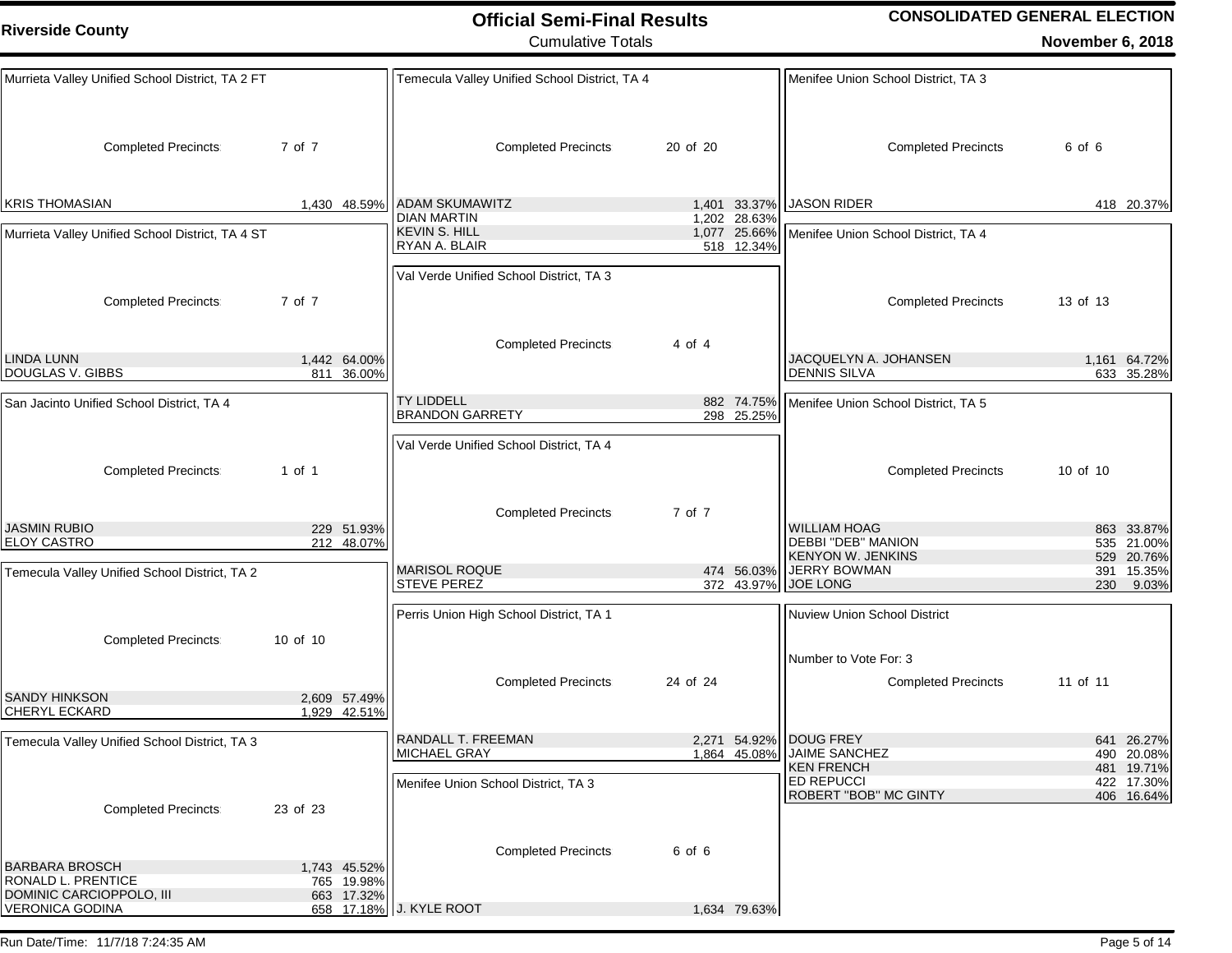| <b>Riverside County</b>                            |                              | <b>Official Semi-Final Results</b>               |                                            | <b>CONSOLIDATED GENERAL ELECTION</b>                                         |                                        |
|----------------------------------------------------|------------------------------|--------------------------------------------------|--------------------------------------------|------------------------------------------------------------------------------|----------------------------------------|
|                                                    |                              | <b>Cumulative Totals</b>                         |                                            |                                                                              | November 6, 2018                       |
| Murrieta Valley Unified School District, TA 2 FT   |                              | Temecula Valley Unified School District, TA 4    |                                            | Menifee Union School District, TA 3                                          |                                        |
| <b>Completed Precincts:</b>                        | 7 of 7                       | <b>Completed Precincts</b>                       | 20 of 20                                   | <b>Completed Precincts</b>                                                   | 6 of 6                                 |
| <b>KRIS THOMASIAN</b>                              | 1,430 48.59%                 | <b>ADAM SKUMAWITZ</b><br><b>DIAN MARTIN</b>      | 1,401 33.37%                               | <b>JASON RIDER</b>                                                           | 418 20.37%                             |
| Murrieta Valley Unified School District, TA 4 ST   |                              | <b>KEVIN S. HILL</b><br>RYAN A. BLAIR            | 1,202 28.63%<br>1,077 25.66%<br>518 12.34% | Menifee Union School District, TA 4                                          |                                        |
| <b>Completed Precincts</b>                         | 7 of 7                       | Val Verde Unified School District, TA 3          |                                            | <b>Completed Precincts</b>                                                   | 13 of 13                               |
| LINDA LUNN<br>DOUGLAS V. GIBBS                     | 1,442 64.00%<br>811 36.00%   | <b>Completed Precincts</b>                       | 4 of 4                                     | JACQUELYN A. JOHANSEN<br><b>DENNIS SILVA</b>                                 | 1,161 64.72%<br>633 35.28%             |
| San Jacinto Unified School District, TA 4          |                              | <b>TY LIDDELL</b><br><b>BRANDON GARRETY</b>      | 882 74.75%<br>298 25.25%                   | Menifee Union School District, TA 5                                          |                                        |
| <b>Completed Precincts</b>                         | 1 of 1                       | Val Verde Unified School District, TA 4          |                                            | <b>Completed Precincts</b>                                                   | 10 of 10                               |
| <b>JASMIN RUBIO</b><br><b>ELOY CASTRO</b>          | 229 51.93%<br>212 48.07%     | <b>Completed Precincts</b>                       | 7 of 7                                     | <b>WILLIAM HOAG</b><br><b>DEBBI "DEB" MANION</b><br><b>KENYON W. JENKINS</b> | 863 33.87%<br>535 21.00%<br>529 20.76% |
| Temecula Valley Unified School District, TA 2      |                              | <b>MARISOL ROQUE</b><br><b>STEVE PEREZ</b>       | 474 56.03%<br>372 43.97%                   | <b>JERRY BOWMAN</b><br><b>JOE LONG</b>                                       | 15.35%<br>391<br>9.03%<br>230          |
| <b>Completed Precincts</b>                         | 10 of 10                     | Perris Union High School District, TA 1          |                                            | <b>Nuview Union School District</b>                                          |                                        |
| SANDY HINKSON<br>UHERYL ECKARD                     | 2,609 57.49%<br>1,929 42.51% | <b>Completed Precincts</b>                       | 24 of 24                                   | Number to Vote For: 3<br><b>Completed Precincts:</b>                         | 11 of 11                               |
| Temecula Valley Unified School District, TA 3      |                              | <b>RANDALL T. FREEMAN</b><br><b>MICHAEL GRAY</b> | 2,271 54.92%<br>1,864 45.08%               | DOUG FREY<br><b>JAIME SANCHEZ</b><br><b>KEN FRENCH</b>                       | 641 26.27%<br>490 20.08%<br>481 19.71% |
| <b>Completed Precincts</b>                         | 23 of 23                     | Menifee Union School District, TA 3              |                                            | <b>ED REPUCCI</b><br>ROBERT "BOB" MC GINTY                                   | 422 17.30%<br>406 16.64%               |
| <b>BARBARA BROSCH</b><br>RONALD L. PRENTICE        | 1,743 45.52%<br>765 19.98%   | <b>Completed Precincts:</b>                      | 6 of 6                                     |                                                                              |                                        |
| DOMINIC CARCIOPPOLO, III<br><b>VERONICA GODINA</b> | 663 17.32%<br>658 17.18%     | J. KYLE ROOT                                     | 1,634 79.63%                               |                                                                              |                                        |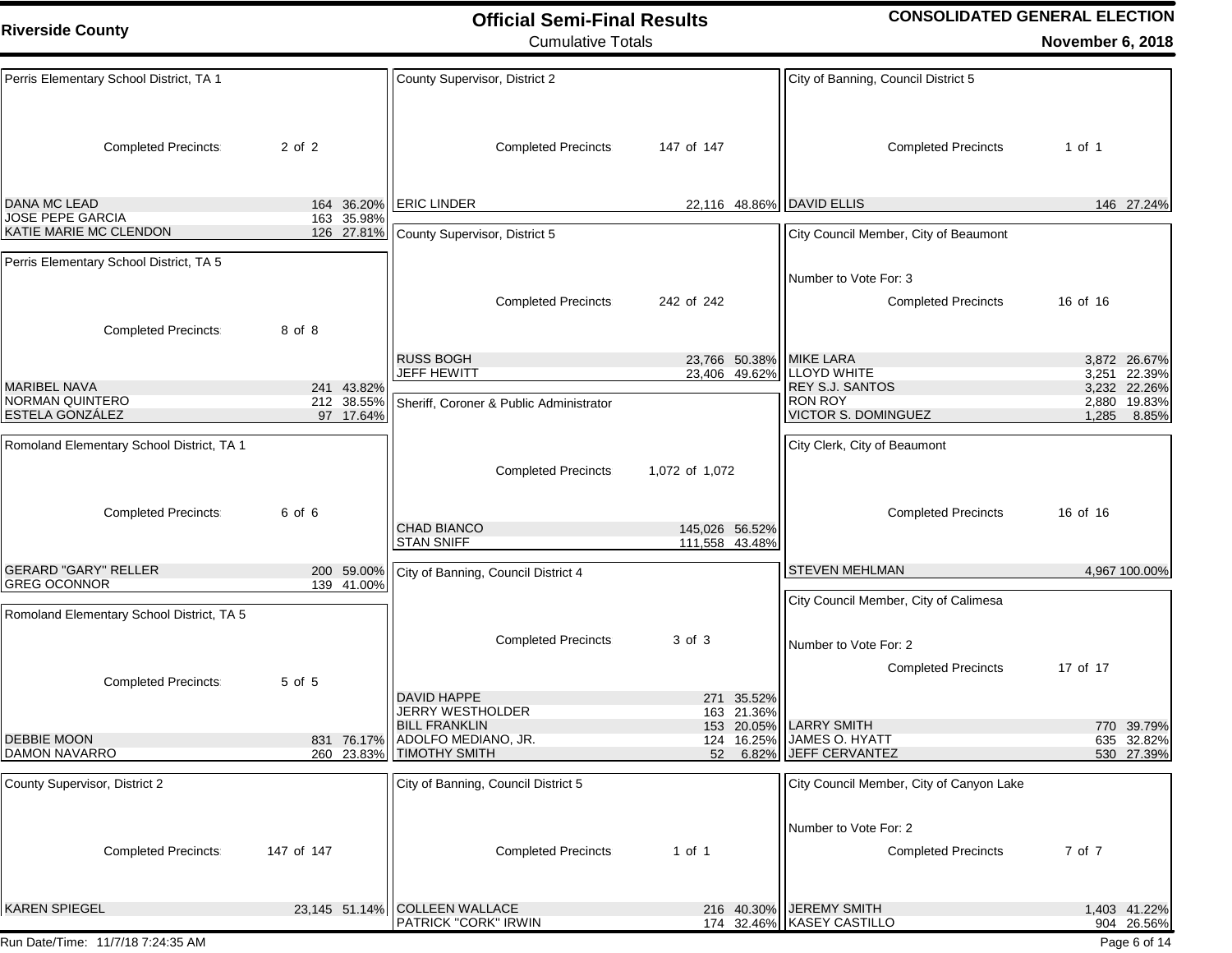| <b>Completed Precincts</b>                 | 2 of 2                   | <b>Completed Precincts</b>                                          | 147 of 147                                 | <b>Completed Precincts:</b>                                   | 1 of 1                                       |
|--------------------------------------------|--------------------------|---------------------------------------------------------------------|--------------------------------------------|---------------------------------------------------------------|----------------------------------------------|
| DANA MC LEAD<br><b>JOSE PEPE GARCIA</b>    | 164 36.20%<br>163 35.98% | <b>ERIC LINDER</b>                                                  | 22,116 48.86% DAVID ELLIS                  |                                                               | 146 27.24%                                   |
| KATIE MARIE MC CLENDON                     | 126 27.81%               | County Supervisor, District 5                                       |                                            | City Council Member, City of Beaumont                         |                                              |
| Perris Elementary School District, TA 5    |                          | <b>Completed Precincts</b>                                          | 242 of 242                                 | Number to Vote For: 3<br><b>Completed Precincts:</b>          | 16 of 16                                     |
| <b>Completed Precincts</b>                 | 8 of 8                   |                                                                     |                                            |                                                               |                                              |
| <b>MARIBEL NAVA</b>                        | 241 43.82%               | <b>RUSS BOGH</b><br><b>JEFF HEWITT</b>                              | 23,766 50.38%<br>23,406 49.62%             | <b>MIKE LARA</b><br><b>LLOYD WHITE</b><br>REY S.J. SANTOS     | 3,872 26.67%<br>3,251 22.39%<br>3,232 22.26% |
| <b>NORMAN QUINTERO</b><br>ESTELA GONZÁLEZ  | 212 38.55%<br>97 17.64%  | Sheriff, Coroner & Public Administrator                             |                                            | <b>RON ROY</b><br>VICTOR S. DOMINGUEZ                         | 2,880 19.83%<br>1,285<br>8.85%               |
| Romoland Elementary School District, TA 1  |                          | <b>Completed Precincts</b>                                          | 1,072 of 1,072                             | City Clerk, City of Beaumont                                  |                                              |
| <b>Completed Precincts</b>                 | 6 of 6                   | <b>CHAD BIANCO</b><br><b>STAN SNIFF</b>                             | 145,026 56.52%<br>111,558 43.48%           | <b>Completed Precincts:</b>                                   | 16 of 16                                     |
| <b>GERARD "GARY" RELLER</b>                | 200 59.00%               | City of Banning, Council District 4                                 |                                            | <b>STEVEN MEHLMAN</b>                                         | 4,967 100.00%                                |
| <b>GREG OCONNOR</b>                        | 139 41.00%               |                                                                     |                                            | City Council Member, City of Calimesa                         |                                              |
| Romoland Elementary School District, TA 5  |                          | <b>Completed Precincts</b>                                          | 3 of 3                                     | Number to Vote For: 2                                         |                                              |
|                                            |                          |                                                                     |                                            | <b>Completed Precincts:</b>                                   | 17 of 17                                     |
| <b>Completed Precincts:</b>                | 5 of 5                   | <b>DAVID HAPPE</b><br><b>JERRY WESTHOLDER</b>                       | 271 35.52%<br>163 21.36%                   |                                                               |                                              |
| <b>DEBBIE MOON</b><br><b>DAMON NAVARRO</b> | 831 76.17%<br>260 23.83% | <b>BILL FRANKLIN</b><br>ADOLFO MEDIANO, JR.<br><b>TIMOTHY SMITH</b> | 153 20.05%<br>16.25%<br>124<br>6.82%<br>52 | <b>LARRY SMITH</b><br>JAMES O. HYATT<br><b>JEFF CERVANTEZ</b> | 770 39.79%<br>635 32.82%<br>530 27.39%       |
| County Supervisor, District 2              |                          | City of Banning, Council District 5                                 |                                            | City Council Member, City of Canyon Lake                      |                                              |
| <b>Completed Precincts:</b>                | 147 of 147               | <b>Completed Precincts:</b>                                         | 1 of 1                                     | Number to Vote For: 2<br><b>Completed Precincts:</b>          | 7 of 7                                       |
| <b>KAREN SPIEGEL</b>                       |                          | 23,145 51.14% COLLEEN WALLACE                                       | 216 40.30%                                 | <b>JEREMY SMITH</b>                                           | 1,403 41.22%                                 |
| Run Date/Time: 11/7/18 7:24:35 AM          |                          | PATRICK "CORK" IRWIN                                                |                                            | 174 32.46%   KASEY CASTILLO                                   | 904 26.56%<br>Page 6 of 14                   |
|                                            |                          |                                                                     |                                            |                                                               |                                              |

Perris Elementary School District, TA 1

## **Official Semi-Final Results CONSOLIDATED GENERAL ELECTION November 6, 2018**

Cumulative Totals

County Supervisor, District 2

City of Banning, Council District 5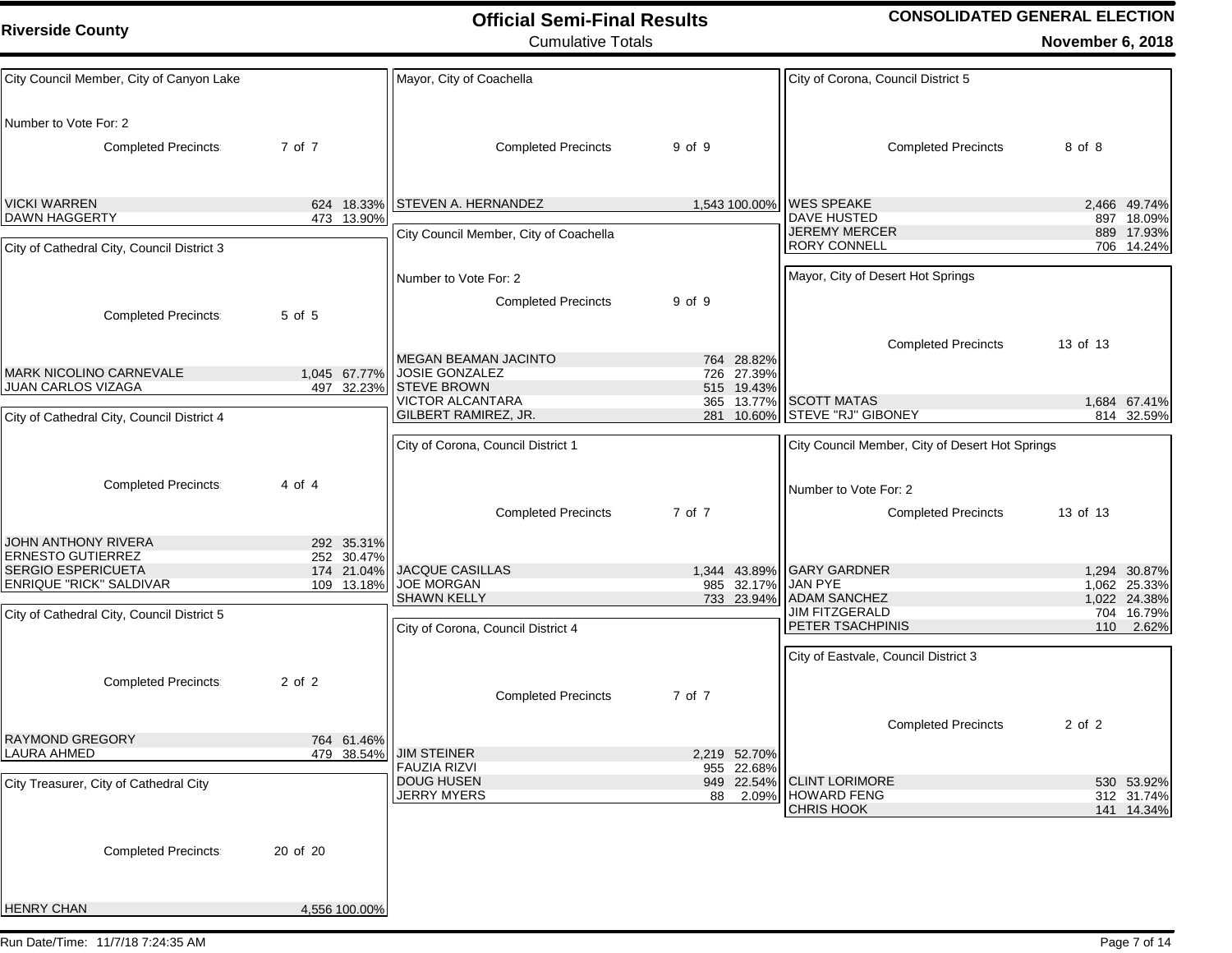**Riverside County**

Cumulative Totals

**CONSOLIDATED GENERAL ELECTION November 6, 2018**

| City Council Member, City of Canyon Lake                                                         |                                                      | Mayor, City of Coachella                                                     |                                          | City of Corona, Council District 5                                                                       |            |                                          |
|--------------------------------------------------------------------------------------------------|------------------------------------------------------|------------------------------------------------------------------------------|------------------------------------------|----------------------------------------------------------------------------------------------------------|------------|------------------------------------------|
| Number to Vote For: 2<br><b>Completed Precincts</b>                                              | 7 of 7                                               | <b>Completed Precincts</b>                                                   | 9 of 9                                   | <b>Completed Precincts</b>                                                                               | 8 of 8     |                                          |
| <b>VICKI WARREN</b><br><b>DAWN HAGGERTY</b>                                                      | 624 18.33%<br>473 13.90%                             | <b>STEVEN A. HERNANDEZ</b><br>City Council Member, City of Coachella         | 1,543 100.00%                            | <b>WES SPEAKE</b><br><b>DAVE HUSTED</b><br><b>JEREMY MERCER</b>                                          |            | 2,466 49.74%<br>897 18.09%<br>889 17.93% |
| City of Cathedral City, Council District 3                                                       |                                                      | Number to Vote For: 2<br><b>Completed Precincts</b>                          | 9 of 9                                   | <b>RORY CONNELL</b><br>Mayor, City of Desert Hot Springs                                                 |            | 706 14.24%                               |
| <b>Completed Precincts</b><br><b>MARK NICOLINO CARNEVALE</b>                                     | 5 of 5<br>1,045 67.77%                               | <b>MEGAN BEAMAN JACINTO</b><br>JOSIE GONZALEZ                                | 764 28.82%<br>726 27.39%                 | <b>Completed Precincts</b>                                                                               | 13 of 13   |                                          |
| <b>JUAN CARLOS VIZAGA</b><br>City of Cathedral City, Council District 4                          | 497 32.23%                                           | <b>STEVE BROWN</b><br><b>VICTOR ALCANTARA</b><br><b>GILBERT RAMIREZ, JR.</b> | 515 19.43%<br>365 13.77%<br>281 10.60%   | <b>SCOTT MATAS</b><br>STEVE "RJ" GIBONEY                                                                 |            | 1,684 67.41%<br>814 32.59%               |
| <b>Completed Precincts</b>                                                                       | 4 of 4                                               | City of Corona, Council District 1<br><b>Completed Precincts</b>             | 7 of 7                                   | City Council Member, City of Desert Hot Springs<br>Number to Vote For: 2<br><b>Completed Precincts</b>   | 13 of 13   |                                          |
| JOHN ANTHONY RIVERA<br><b>ERNESTO GUTIERREZ</b><br>SERGIO ESPERICUETA<br>ENRIQUE "RICK" SALDIVAR | 292 35.31%<br>252 30.47%<br>174 21.04%<br>109 13.18% | JACQUE CASILLAS<br><b>JOE MORGAN</b>                                         | 1,344 43.89%<br>985 32.17%               | <b>GARY GARDNER</b><br><b>JAN PYE</b>                                                                    |            | 1,294 30.87%<br>1,062 25.33%             |
| City of Cathedral City, Council District 5                                                       |                                                      | <b>SHAWN KELLY</b><br>City of Corona, Council District 4                     | 733 23.94%                               | <b>ADAM SANCHEZ</b><br><b>JIM FITZGERALD</b><br>PETER TSACHPINIS<br>City of Eastvale, Council District 3 |            | 1,022 24.38%<br>704 16.79%<br>110 2.62%  |
| <b>Completed Precincts</b>                                                                       | 2 of 2                                               | <b>Completed Precincts</b>                                                   | 7 of 7                                   | <b>Completed Precincts</b>                                                                               | $2$ of $2$ |                                          |
| <b>RAYMOND GREGORY</b><br>LAURA AHMED<br>City Treasurer, City of Cathedral City                  | 764 61.46%                                           | 479 38.54% JIM STEINER<br> FAUZIA RIZVI<br><b>DOUG HUSEN</b>                 | 2,219 52.70%<br>955 22.68%<br>949 22.54% | <b>CLINT LORIMORE</b>                                                                                    |            | 530 53.92%                               |
| <b>Completed Precincts</b>                                                                       | 20 of 20                                             | JERRY MYERS                                                                  | 2.09%<br>88                              | <b>HOWARD FENG</b><br><b>CHRIS HOOK</b>                                                                  |            | 312 31.74%<br>141 14.34%                 |
| <b>HENRY CHAN</b>                                                                                | 4,556 100.00%                                        |                                                                              |                                          |                                                                                                          |            |                                          |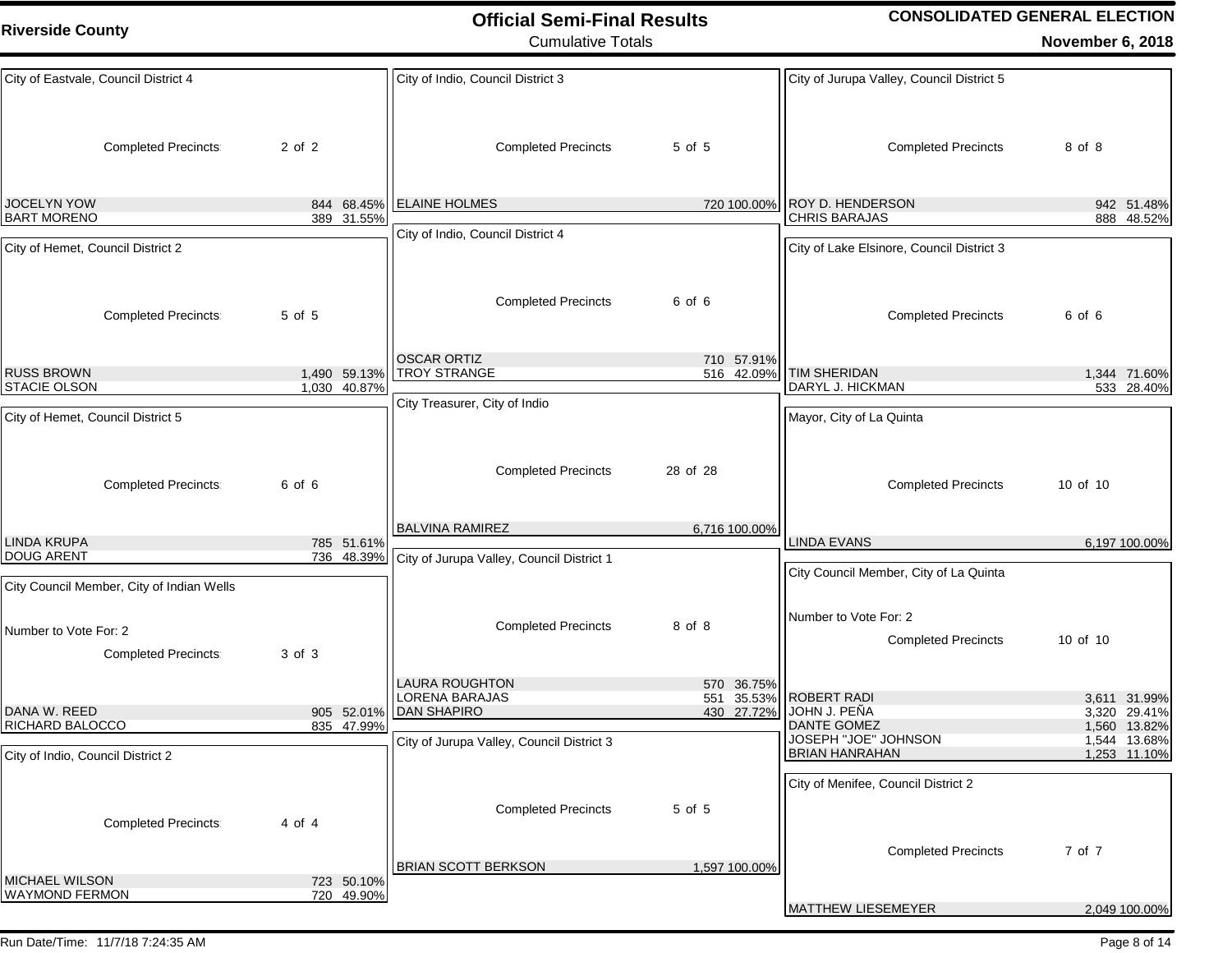| City of Eastvale, Council District 4      |              | City of Indio, Council District 3         |               | City of Jurupa Valley, Council District 5  |                              |
|-------------------------------------------|--------------|-------------------------------------------|---------------|--------------------------------------------|------------------------------|
| <b>Completed Precincts:</b>               | 2 of 2       | <b>Completed Precincts</b>                | 5 of 5        | <b>Completed Precincts</b>                 | 8 of 8                       |
| <b>JOCELYN YOW</b>                        | 844 68.45%   | <b>ELAINE HOLMES</b>                      | 720 100.00%   | <b>ROY D. HENDERSON</b>                    | 942 51.48%                   |
| <b>BART MORENO</b>                        | 389 31.55%   |                                           |               | <b>CHRIS BARAJAS</b>                       | 888 48.52%                   |
| City of Hemet, Council District 2         |              | City of Indio, Council District 4         |               | City of Lake Elsinore, Council District 3  |                              |
| <b>Completed Precincts</b>                | 5 of 5       | <b>Completed Precincts</b>                | 6 of 6        | <b>Completed Precincts</b>                 | 6 of 6                       |
|                                           |              | <b>OSCAR ORTIZ</b>                        | 710 57.91%    |                                            |                              |
| <b>RUSS BROWN</b>                         | 1,490 59.13% | <b>TROY STRANGE</b>                       | 516 42.09%    | <b>TIM SHERIDAN</b>                        | 1,344 71.60%                 |
| STACIE OLSON                              | 1,030 40.87% |                                           |               | DARYL J. HICKMAN                           | 533 28.40%                   |
| City of Hemet, Council District 5         |              | City Treasurer, City of Indio             |               | Mayor, City of La Quinta                   |                              |
| <b>Completed Precincts:</b>               | 6 of 6       | <b>Completed Precincts</b>                | 28 of 28      | <b>Completed Precincts</b>                 | 10 of 10                     |
|                                           |              | <b>BALVINA RAMIREZ</b>                    | 6,716 100.00% |                                            |                              |
| <b>LINDA KRUPA</b>                        | 785 51.61%   |                                           |               | <b>LINDA EVANS</b>                         | 6,197 100.00%                |
| <b>DOUG ARENT</b>                         | 736 48.39%   | City of Jurupa Valley, Council District 1 |               |                                            |                              |
| City Council Member, City of Indian Wells |              |                                           |               | City Council Member, City of La Quinta     |                              |
| Number to Vote For: 2                     |              | <b>Completed Precincts</b>                | 8 of 8        | Number to Vote For: 2                      |                              |
| <b>Completed Precincts</b>                | 3 of 3       |                                           |               | <b>Completed Precincts</b>                 | 10 of 10                     |
|                                           |              | <b>LAURA ROUGHTON</b>                     | 570 36.75%    |                                            |                              |
|                                           |              | <b>LORENA BARAJAS</b>                     | 551 35.53%    | <b>ROBERT RADI</b>                         | 3,611 31.99%                 |
| DANA W. REED                              | 905 52.01%   | <b>DAN SHAPIRO</b>                        | 430 27.72%    | JOHN J. PEÑA                               | 3,320 29.41%                 |
| RICHARD BALOCCO                           | 835 47.99%   |                                           |               | <b>DANTE GOMEZ</b><br>JOSEPH "JOE" JOHNSON | 1,560 13.82%                 |
| City of Indio, Council District 2         |              | City of Jurupa Valley, Council District 3 |               | <b>BRIAN HANRAHAN</b>                      | 1,544 13.68%<br>1,253 11.10% |
|                                           |              |                                           |               | City of Menifee, Council District 2        |                              |
| <b>Completed Precincts:</b>               | 4 of 4       | <b>Completed Precincts:</b>               | 5 of 5        |                                            |                              |
|                                           |              | <b>BRIAN SCOTT BERKSON</b>                | 1,597 100.00% | <b>Completed Precincts</b>                 | 7 of 7                       |
| <b>MICHAEL WILSON</b>                     | 723 50.10%   |                                           |               |                                            |                              |
| <b>WAYMOND FERMON</b>                     | 720 49.90%   |                                           |               |                                            |                              |
|                                           |              |                                           |               | <b>MATTHEW LIESEMEYER</b>                  | 2,049 100.00%                |

# **Official Semi-Final Results CONSOLIDATED GENERAL ELECTION November 6, 2018**

Cumulative Totals

**Riverside County**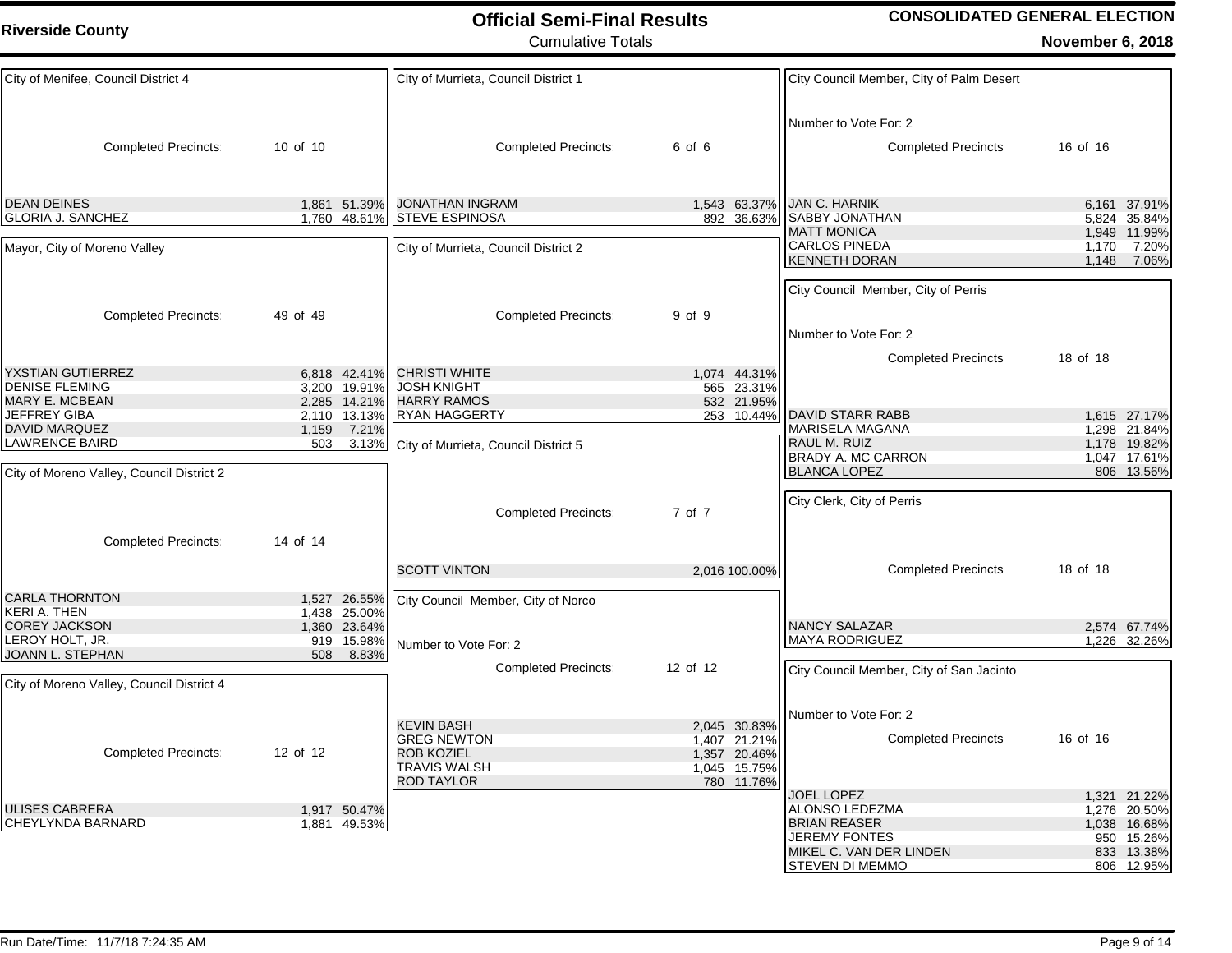| <b>Riverside County</b> | Official Semi-Final Result |  |  |
|-------------------------|----------------------------|--|--|
|                         | <b>Cumulative Totals</b>   |  |  |
|                         |                            |  |  |

| City of Menifee, Council District 4        |                | City of Murrieta, Council District 1                   |                            | City Council Member, City of Palm Desert |                |
|--------------------------------------------|----------------|--------------------------------------------------------|----------------------------|------------------------------------------|----------------|
|                                            |                |                                                        |                            |                                          |                |
|                                            |                |                                                        |                            | Number to Vote For: 2                    |                |
|                                            |                |                                                        |                            |                                          |                |
| <b>Completed Precincts</b>                 | 10 of 10       | <b>Completed Precincts</b>                             | 6 of 6                     | <b>Completed Precincts:</b>              | 16 of 16       |
|                                            |                |                                                        |                            |                                          |                |
|                                            |                |                                                        |                            |                                          |                |
| <b>DEAN DEINES</b>                         |                | 1,861 51.39% JONATHAN INGRAM                           | 1,543 63.37%               | <b>JAN C. HARNIK</b>                     | 6,161 37.91%   |
| <b>GLORIA J. SANCHEZ</b>                   |                | 1,760 48.61% STEVE ESPINOSA                            | 892 36.63%                 | SABBY JONATHAN                           | 5,824 35.84%   |
|                                            |                |                                                        |                            | <b>MATT MONICA</b>                       | 1,949 11.99%   |
| Mayor, City of Moreno Valley               |                | City of Murrieta, Council District 2                   |                            | <b>CARLOS PINEDA</b>                     | 1,170<br>7.20% |
|                                            |                |                                                        |                            | <b>KENNETH DORAN</b>                     | 1,148<br>7.06% |
|                                            |                |                                                        |                            | City Council Member, City of Perris      |                |
|                                            |                |                                                        |                            |                                          |                |
| <b>Completed Precincts:</b>                | 49 of 49       | <b>Completed Precincts:</b>                            | 9 of 9                     |                                          |                |
|                                            |                |                                                        |                            | Number to Vote For: 2                    |                |
|                                            |                |                                                        |                            |                                          |                |
|                                            |                |                                                        |                            | <b>Completed Precincts</b>               | 18 of 18       |
| YXSTIAN GUTIERREZ<br><b>DENISE FLEMING</b> |                | 6,818 42.41% CHRISTI WHITE<br>3,200 19.91% JOSH KNIGHT | 1,074 44.31%<br>565 23.31% |                                          |                |
| MARY E. MCBEAN                             |                | 2,285 14.21% HARRY RAMOS                               | 532 21.95%                 |                                          |                |
| <b>JEFFREY GIBA</b>                        |                | 2,110 13.13%   RYAN HAGGERTY                           | 253 10.44%                 | <b>DAVID STARR RABB</b>                  | 1,615 27.17%   |
| DAVID MARQUEZ                              | 7.21%<br>1,159 |                                                        |                            | <b>MARISELA MAGANA</b>                   | 1,298 21.84%   |
| <b>LAWRENCE BAIRD</b>                      | 503            | 3.13% City of Murrieta, Council District 5             |                            | RAUL M. RUIZ                             | 1,178 19.82%   |
|                                            |                |                                                        |                            | <b>BRADY A. MC CARRON</b>                | 1,047 17.61%   |
| City of Moreno Valley, Council District 2  |                |                                                        |                            | <b>BLANCA LOPEZ</b>                      | 806 13.56%     |
|                                            |                |                                                        |                            | City Clerk, City of Perris               |                |
|                                            |                | <b>Completed Precincts</b>                             | 7 of 7                     |                                          |                |
|                                            |                |                                                        |                            |                                          |                |
| <b>Completed Precincts:</b>                | 14 of 14       |                                                        |                            |                                          |                |
|                                            |                |                                                        |                            |                                          | 18 of 18       |
|                                            |                | <b>SCOTT VINTON</b>                                    | 2,016 100.00%              | <b>Completed Precincts</b>               |                |
| CARLA THORNTON                             |                | 1,527 26.55%   City Council Member, City of Norco      |                            |                                          |                |
| KERI A. THEN                               | 1,438 25.00%   |                                                        |                            |                                          |                |
| <b>COREY JACKSON</b>                       | 1,360 23.64%   |                                                        |                            | <b>NANCY SALAZAR</b>                     | 2,574 67.74%   |
| LEROY HOLT, JR.                            |                | 919 15.98%   Number to Vote For: 2                     |                            | <b>MAYA RODRIGUEZ</b>                    | 1,226 32.26%   |
| JOANN L. STEPHAN                           | 508<br>8.83%   |                                                        |                            |                                          |                |
|                                            |                | <b>Completed Precincts</b>                             | 12 of 12                   | City Council Member, City of San Jacinto |                |
| City of Moreno Valley, Council District 4  |                |                                                        |                            |                                          |                |
|                                            |                |                                                        |                            | Number to Vote For: 2                    |                |
|                                            |                | <b>KEVIN BASH</b>                                      | 2,045 30.83%               |                                          |                |
|                                            |                | <b>GREG NEWTON</b>                                     | 1,407 21.21%               | <b>Completed Precincts</b>               | 16 of 16       |
| Completed Precincts:                       | 12 of 12       | <b>ROB KOZIEL</b>                                      | 1,357 20.46%               |                                          |                |
|                                            |                | <b>TRAVIS WALSH</b>                                    | 1,045 15.75%               |                                          |                |
|                                            |                | <b>ROD TAYLOR</b>                                      | 780 11.76%                 | <b>JOEL LOPEZ</b>                        | 1,321 21.22%   |
| <b>ULISES CABRERA</b>                      | 1,917 50.47%   |                                                        |                            | ALONSO LEDEZMA                           | 1,276 20.50%   |
| CHEYLYNDA BARNARD                          | 1,881 49.53%   |                                                        |                            | <b>BRIAN REASER</b>                      | 1,038 16.68%   |
|                                            |                |                                                        |                            | <b>JEREMY FONTES</b>                     | 950 15.26%     |
|                                            |                |                                                        |                            | MIKEL C. VAN DER LINDEN                  | 833 13.38%     |
|                                            |                |                                                        |                            | <b>STEVEN DI MEMMO</b>                   | 806 12.95%     |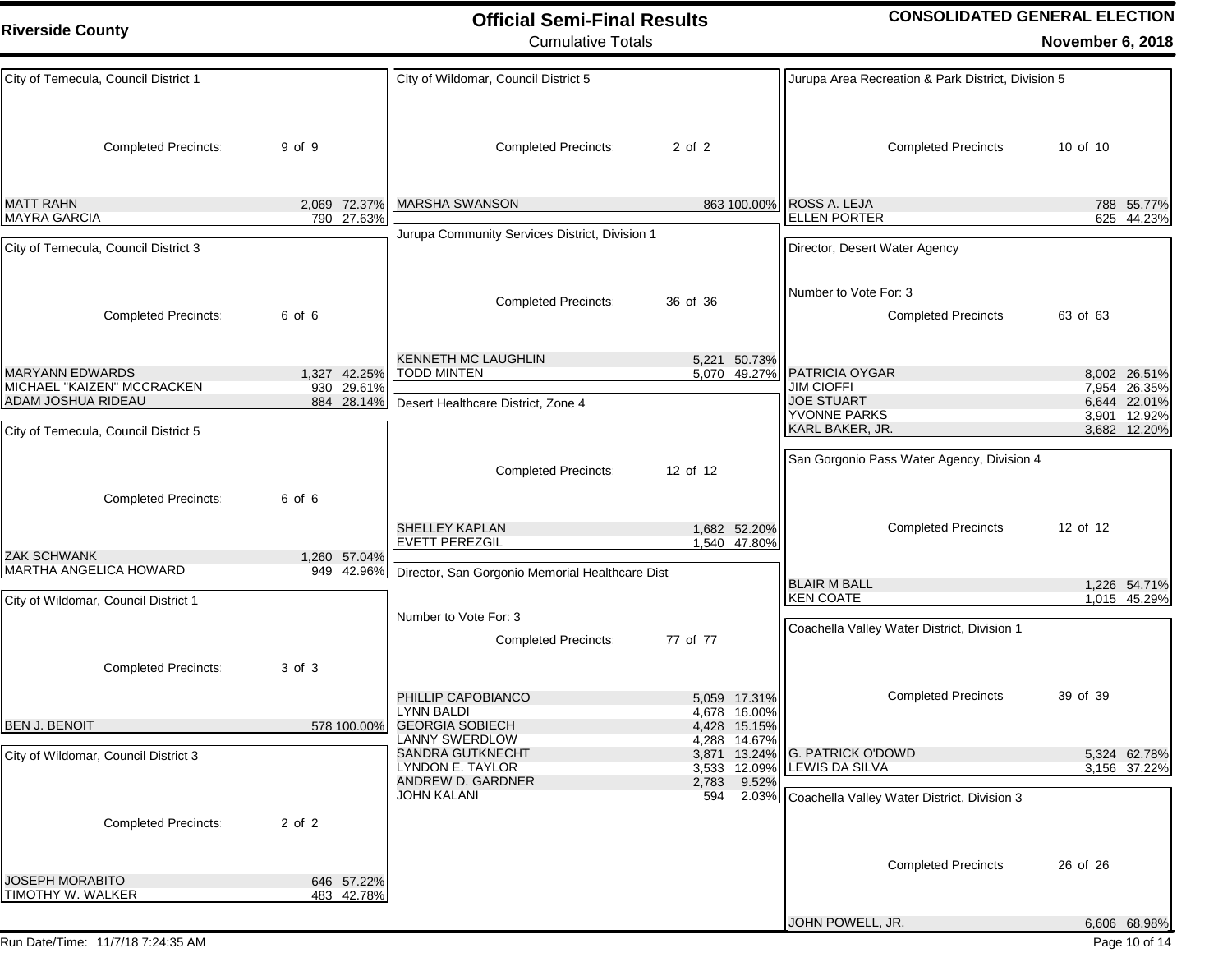# **Official Semi-Final Results CONSOLIDATED GENERAL ELECTION November 6, 2018**

Cumulative Totals

| City of Temecula, Council District 1                 |                            | City of Wildomar, Council District 5                                    |                              | Jurupa Area Recreation & Park District, Division 5            |                                              |
|------------------------------------------------------|----------------------------|-------------------------------------------------------------------------|------------------------------|---------------------------------------------------------------|----------------------------------------------|
| <b>Completed Precincts</b>                           | 9 of 9                     | <b>Completed Precincts</b>                                              | 2 of 2                       | <b>Completed Precincts</b>                                    | 10 of 10                                     |
| <b>MATT RAHN</b><br><b>MAYRA GARCIA</b>              | 2,069 72.37%<br>790 27.63% | <b>IMARSHA SWANSON</b>                                                  | 863 100.00%                  | ROSS A. LEJA<br><b>ELLEN PORTER</b>                           | 788 55.77%<br>625 44.23%                     |
| City of Temecula, Council District 3                 |                            | Jurupa Community Services District, Division 1                          |                              | Director, Desert Water Agency                                 |                                              |
| <b>Completed Precincts</b>                           | 6 of 6                     | <b>Completed Precincts</b>                                              | 36 of 36                     | Number to Vote For: 3<br><b>Completed Precincts</b>           | 63 of 63                                     |
|                                                      |                            | <b>KENNETH MC LAUGHLIN</b>                                              | 5,221 50.73%                 |                                                               |                                              |
| <b>MARYANN EDWARDS</b><br>MICHAEL "KAIZEN" MCCRACKEN | 1,327 42.25%<br>930 29.61% | <b>TODD MINTEN</b>                                                      | 5,070 49.27%                 | <b>PATRICIA OYGAR</b><br>JIM CIOFFI                           | 8,002 26.51%<br>7,954 26.35%                 |
| <b>ADAM JOSHUA RIDEAU</b>                            | 884 28.14%                 | Desert Healthcare District, Zone 4                                      |                              | <b>JOE STUART</b><br>YVONNE PARKS<br>KARL BAKER, JR.          | 6,644 22.01%<br>3,901 12.92%<br>3,682 12.20% |
| City of Temecula, Council District 5                 |                            | <b>Completed Precincts</b>                                              | 12 of 12                     | San Gorgonio Pass Water Agency, Division 4                    |                                              |
| <b>Completed Precincts:</b>                          | 6 of 6                     |                                                                         |                              |                                                               |                                              |
| <b>ZAK SCHWANK</b>                                   |                            | <b>SHELLEY KAPLAN</b><br><b>EVETT PEREZGIL</b>                          | 1,682 52.20%<br>1,540 47.80% | <b>Completed Precincts</b>                                    | 12 of 12                                     |
| <b>MARTHA ANGELICA HOWARD</b>                        | 1,260 57.04%<br>949 42.96% | Director, San Gorgonio Memorial Healthcare Dist                         |                              |                                                               |                                              |
| City of Wildomar, Council District 1                 |                            |                                                                         |                              | <b>BLAIR M BALL</b><br><b>KEN COATE</b>                       | 1,226 54.71%<br>1,015 45.29%                 |
|                                                      |                            | Number to Vote For: 3<br><b>Completed Precincts:</b>                    | 77 of 77                     | Coachella Valley Water District, Division 1                   |                                              |
| <b>Completed Precincts:</b>                          | 3 of 3                     |                                                                         |                              |                                                               |                                              |
|                                                      |                            | PHILLIP CAPOBIANCO<br><b>LYNN BALDI</b>                                 | 5,059 17.31%<br>4,678 16.00% | <b>Completed Precincts</b>                                    | 39 of 39                                     |
| <b>BEN J. BENOIT</b>                                 | 578 100.00%                | <b>GEORGIA SOBIECH</b><br><b>LANNY SWERDLOW</b>                         | 4,428 15.15%                 |                                                               |                                              |
| City of Wildomar, Council District 3                 |                            | <b>SANDRA GUTKNECHT</b><br><b>LYNDON E. TAYLOR</b><br>ANDREW D. GARDNER | 4,288 14.67%<br>2,783 9.52%  | 3,871 13.24% G. PATRICK O'DOWD<br>3,533 12.09% LEWIS DA SILVA | 5,324 62.78%<br>3,156 37.22%                 |
| <b>Completed Precincts:</b>                          | 2 of 2                     | <b>JOHN KALANI</b>                                                      | 594                          | 2.03% Coachella Valley Water District, Division 3             |                                              |
| <b>JOSEPH MORABITO</b>                               | 646 57.22%                 |                                                                         |                              | <b>Completed Precincts:</b>                                   | 26 of 26                                     |
| TIMOTHY W. WALKER                                    | 483 42.78%                 |                                                                         |                              |                                                               |                                              |
|                                                      |                            |                                                                         |                              | JOHN POWELL, JR.                                              | 6,606 68.98%                                 |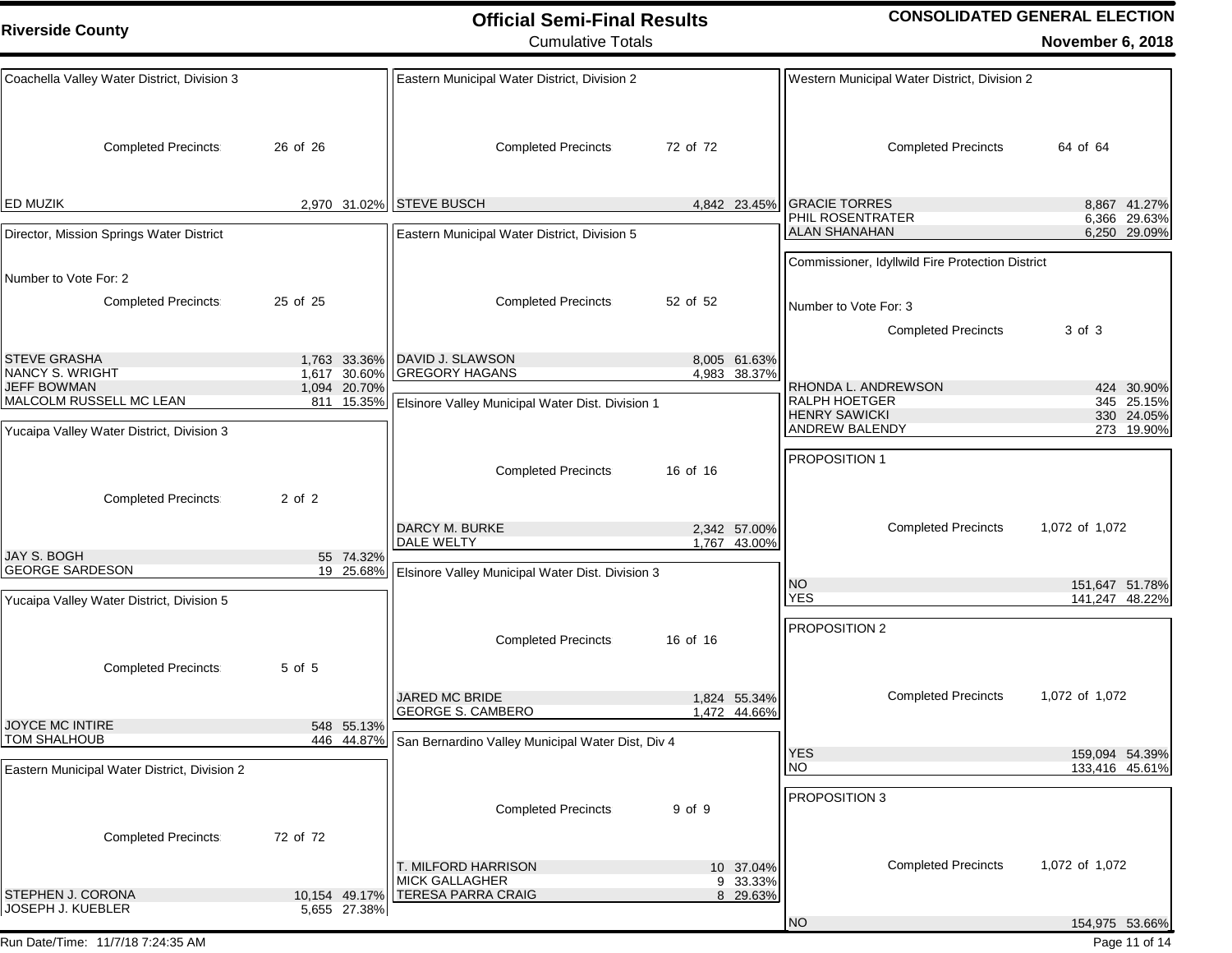| <b>Riverside County</b>                                      |                              | <b>Official Semi-Final Results</b><br><b>Cumulative Totals</b> |          |                              | <b>CONSOLIDATED GENERAL ELECTION</b>             | November 6, 2018                 |
|--------------------------------------------------------------|------------------------------|----------------------------------------------------------------|----------|------------------------------|--------------------------------------------------|----------------------------------|
| Coachella Valley Water District, Division 3                  |                              | Eastern Municipal Water District, Division 2                   |          |                              | Western Municipal Water District, Division 2     |                                  |
| <b>Completed Precincts:</b>                                  | 26 of 26                     | <b>Completed Precincts:</b>                                    | 72 of 72 |                              | <b>Completed Precincts:</b>                      | 64 of 64                         |
| ED MUZIK                                                     |                              | 2,970 31.02% STEVE BUSCH                                       |          | 4,842 23.45%                 | <b>GRACIE TORRES</b><br>PHIL ROSENTRATER         | 8.867 41.27%                     |
| Director, Mission Springs Water District                     |                              | Eastern Municipal Water District, Division 5                   |          |                              | <b>ALAN SHANAHAN</b>                             | 6,366 29.63%<br>6,250 29.09%     |
| Number to Vote For: 2                                        |                              |                                                                |          |                              | Commissioner, Idyllwild Fire Protection District |                                  |
| <b>Completed Precincts:</b>                                  | 25 of 25                     | <b>Completed Precincts</b>                                     | 52 of 52 |                              | Number to Vote For: 3                            |                                  |
|                                                              |                              |                                                                |          |                              | <b>Completed Precincts:</b>                      | 3 of 3                           |
| <b>STEVE GRASHA</b><br>NANCY S. WRIGHT<br><b>JEFF BOWMAN</b> | 1.763 33.36%<br>1,617 30.60% | DAVID J. SLAWSON<br><b>GREGORY HAGANS</b>                      |          | 8,005 61.63%<br>4,983 38.37% | RHONDA L. ANDREWSON                              |                                  |
| MALCOLM RUSSELL MC LEAN                                      | 1,094 20.70%<br>811 15.35%   | Elsinore Valley Municipal Water Dist. Division 1               |          |                              | RALPH HOETGER                                    | 424 30.90%<br>345 25.15%         |
| Yucaipa Valley Water District, Division 3                    |                              |                                                                |          |                              | <b>HENRY SAWICKI</b><br><b>ANDREW BALENDY</b>    | 330 24.05%<br>273 19.90%         |
|                                                              |                              | <b>Completed Precincts:</b>                                    | 16 of 16 |                              | <b>PROPOSITION 1</b>                             |                                  |
| <b>Completed Precincts:</b>                                  | 2 of 2                       |                                                                |          |                              |                                                  |                                  |
| JAY S. BOGH                                                  | 55 74.32%                    | <b>DARCY M. BURKE</b><br><b>DALE WELTY</b>                     |          | 2,342 57.00%<br>1,767 43.00% | <b>Completed Precincts:</b>                      | 1,072 of 1,072                   |
| <b>GEORGE SARDESON</b>                                       | 19 25.68%                    | Elsinore Valley Municipal Water Dist. Division 3               |          |                              | <b>NO</b>                                        | 151,647 51.78%                   |
| Yucaipa Valley Water District, Division 5                    |                              |                                                                |          |                              | <b>YES</b>                                       | 141,247 48.22%                   |
|                                                              |                              | Completed Precincts:                                           | 16 of 16 |                              | <b>PROPOSITION 2</b>                             |                                  |
| <b>Completed Precincts</b>                                   | 5 of 5                       |                                                                |          |                              |                                                  |                                  |
|                                                              |                              | JARED MC BRIDE<br><b>GEORGE S. CAMBERO</b>                     |          | 1,824 55.34%<br>1,472 44.66% | <b>Completed Precincts</b>                       | 1,072 of 1,072                   |
| <b>JOYCE MC INTIRE</b><br>TOM SHALHOUB                       | 548 55.13%<br>446 44.87%     | San Bernardino Valley Municipal Water Dist, Div 4              |          |                              | <b>YES</b>                                       |                                  |
| Eastern Municipal Water District, Division 2                 |                              |                                                                |          |                              | <b>NO</b>                                        | 159,094 54.39%<br>133,416 45.61% |
|                                                              |                              | <b>Completed Precincts:</b>                                    | 9 of 9   |                              | PROPOSITION 3                                    |                                  |
| <b>Completed Precincts:</b>                                  | 72 of 72                     | T. MILFORD HARRISON                                            |          | 10 37.04%                    | <b>Completed Precincts:</b>                      | 1,072 of 1,072                   |
| STEPHEN J. CORONA                                            | 10,154 49.17%                | <b>MICK GALLAGHER</b><br><b>TERESA PARRA CRAIG</b>             |          | 9 33.33%<br>8 29.63%         |                                                  |                                  |
| JOSEPH J. KUEBLER                                            | 5,655 27.38%                 |                                                                |          |                              | <b>NO</b>                                        | 154,975 53.66%                   |

Run Date/Time: 11/7/18 7:24:35 AM

Music of the contract of the contract of the contract of the contract of the contract of the contract of the contract of the contract of the contract of the contract of the contract of the contract of the contract of the c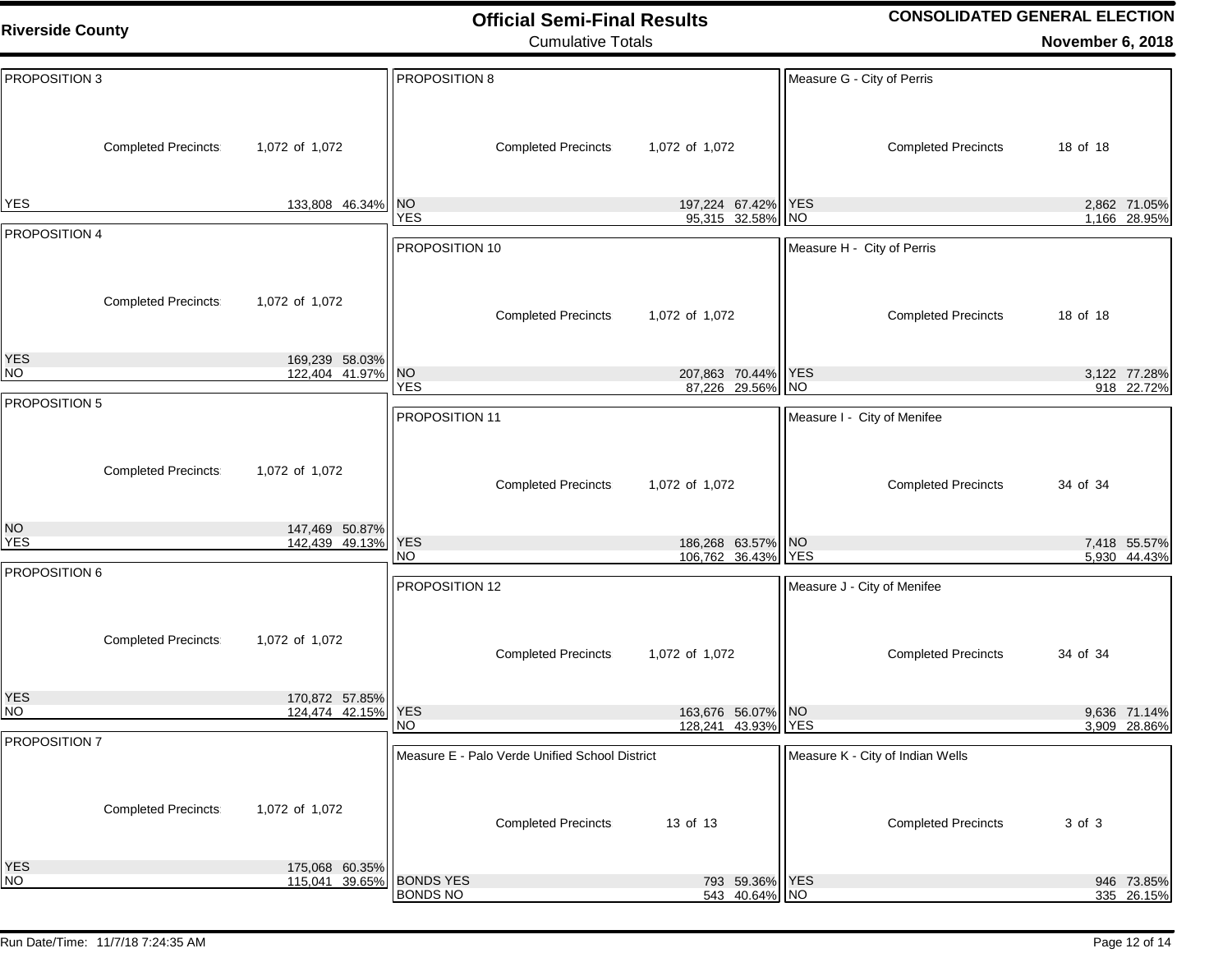| <b>Riverside County</b> |                            |                                      | <b>Official Semi-Final Results</b><br><b>Cumulative Totals</b> |                                                |                                     | <b>CONSOLIDATED GENERAL ELECTION</b><br><b>November 6, 2018</b> |          |                              |  |
|-------------------------|----------------------------|--------------------------------------|----------------------------------------------------------------|------------------------------------------------|-------------------------------------|-----------------------------------------------------------------|----------|------------------------------|--|
| PROPOSITION 3           |                            |                                      | PROPOSITION 8                                                  |                                                |                                     | Measure G - City of Perris                                      |          |                              |  |
|                         | <b>Completed Precincts</b> | 1,072 of 1,072                       |                                                                | <b>Completed Precincts</b>                     | 1,072 of 1,072                      | <b>Completed Precincts</b>                                      | 18 of 18 |                              |  |
| <b>YES</b>              |                            | 133,808 46.34%                       | <b>NO</b><br><b>YES</b>                                        |                                                | 197,224 67.42%<br>95,315 32.58%     | <b>YES</b><br><b>NO</b>                                         |          | 2,862 71.05%<br>1,166 28.95% |  |
| PROPOSITION 4           |                            |                                      | PROPOSITION 10                                                 |                                                |                                     | Measure H - City of Perris                                      |          |                              |  |
|                         | <b>Completed Precincts</b> | 1,072 of 1,072                       |                                                                | <b>Completed Precincts</b>                     | 1,072 of 1,072                      | <b>Completed Precincts</b>                                      | 18 of 18 |                              |  |
| <b>YES</b><br><b>NO</b> |                            | 169,239 58.03%<br>122,404 41.97%     | <b>NO</b><br><b>YES</b>                                        |                                                | 207,863 70.44% YES<br>87,226 29.56% | <b>NO</b>                                                       |          | 3,122 77.28%<br>918 22.72%   |  |
| PROPOSITION 5           |                            |                                      | PROPOSITION 11                                                 |                                                |                                     | Measure I - City of Menifee                                     |          |                              |  |
|                         | <b>Completed Precincts</b> | 1,072 of 1,072                       |                                                                | <b>Completed Precincts</b>                     | 1,072 of 1,072                      | <b>Completed Precincts</b>                                      | 34 of 34 |                              |  |
| <b>NO</b><br><b>YES</b> |                            | 147,469 50.87%<br>142,439 49.13%     | <b>YES</b>                                                     |                                                | 186,268 63.57% NO                   |                                                                 |          | 7,418 55.57%                 |  |
| PROPOSITION 6           |                            |                                      | <b>NO</b>                                                      |                                                | 106,762 36.43%                      | <b>YES</b>                                                      |          | 5,930 44.43%                 |  |
|                         |                            |                                      | PROPOSITION 12                                                 |                                                |                                     | Measure J - City of Menifee                                     |          |                              |  |
|                         | <b>Completed Precincts</b> | 1,072 of 1,072                       |                                                                | <b>Completed Precincts</b>                     | 1,072 of 1,072                      | <b>Completed Precincts</b>                                      | 34 of 34 |                              |  |
| YES<br> NO              |                            | 170,872 57.85%<br>124,474 42.15% YES |                                                                |                                                | 163,676 56.07% NO                   |                                                                 |          | 9,636 71.14%                 |  |
|                         |                            |                                      | <b>NO</b>                                                      |                                                | 128,241 43.93% YES                  |                                                                 |          | 3,909 28.86%                 |  |
| PROPOSITION 7           |                            |                                      |                                                                | Measure E - Palo Verde Unified School District |                                     | Measure K - City of Indian Wells                                |          |                              |  |
|                         | <b>Completed Precincts</b> | 1,072 of 1,072                       |                                                                | <b>Completed Precincts</b>                     | 13 of 13                            | <b>Completed Precincts</b>                                      | 3 of 3   |                              |  |
| <b>YES</b><br><b>NO</b> |                            | 175,068 60.35%                       | <b>BONDS YES</b>                                               |                                                | 793 59.36% YES                      |                                                                 |          |                              |  |
|                         |                            | 115,041 39.65%                       | <b>BONDS NO</b>                                                |                                                | 543 40.64% NO                       |                                                                 |          | 946 73.85%<br>335 26.15%     |  |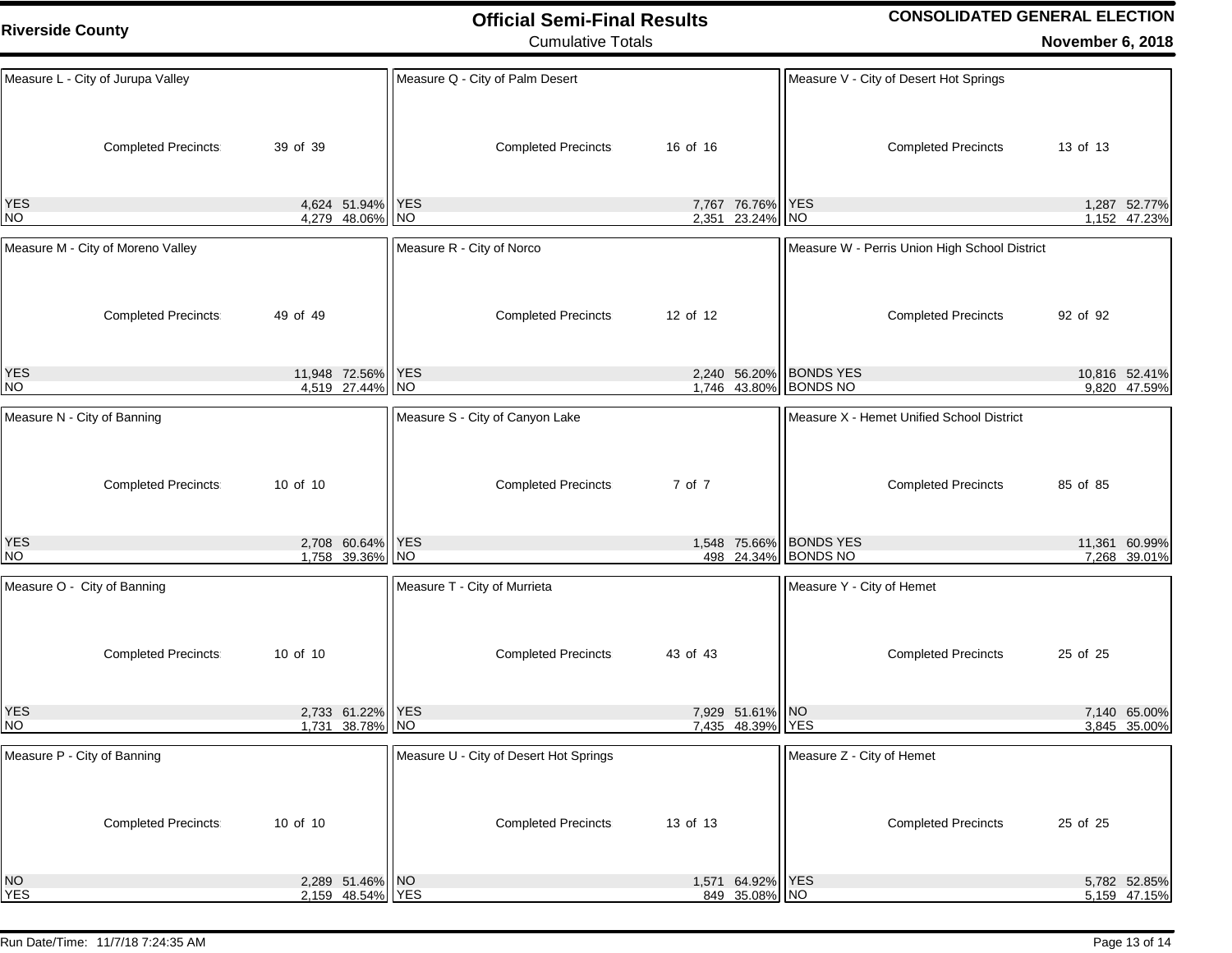| <b>Riverside County</b>           |                                      | <b>Official Semi-Final Results</b>     |                                               | <b>CONSOLIDATED GENERAL ELECTION</b>          |                               |  |
|-----------------------------------|--------------------------------------|----------------------------------------|-----------------------------------------------|-----------------------------------------------|-------------------------------|--|
|                                   |                                      | <b>Cumulative Totals</b>               |                                               |                                               | November 6, 2018              |  |
| Measure L - City of Jurupa Valley |                                      | Measure Q - City of Palm Desert        |                                               | Measure V - City of Desert Hot Springs        |                               |  |
| <b>Completed Precincts</b>        | 39 of 39                             | <b>Completed Precincts</b>             | 16 of 16                                      | <b>Completed Precincts</b>                    | 13 of 13                      |  |
| YES<br><b>NO</b>                  | 4,624 51.94% YES<br>4,279 48.06% NO  |                                        | 7,767 76.76% YES<br>2,351 23.24% NO           |                                               | 1,287 52.77%<br>1,152 47.23%  |  |
| Measure M - City of Moreno Valley |                                      | Measure R - City of Norco              |                                               | Measure W - Perris Union High School District |                               |  |
| <b>Completed Precincts</b>        | 49 of 49                             | <b>Completed Precincts</b>             | 12 of 12                                      | <b>Completed Precincts</b>                    | 92 of 92                      |  |
| <b>YES</b><br><b>NO</b>           | 11,948 72.56% YES<br>4,519 27.44% NO |                                        | 2,240 56.20% BONDS YES<br>1,746 43.80%        | <b>BONDS NO</b>                               | 10,816 52.41%<br>9,820 47.59% |  |
| Measure N - City of Banning       |                                      | Measure S - City of Canyon Lake        |                                               | Measure X - Hemet Unified School District     |                               |  |
| <b>Completed Precincts</b>        | 10 of 10                             | <b>Completed Precincts</b>             | 7 of 7                                        | <b>Completed Precincts</b>                    | 85 of 85                      |  |
| <b>YES</b><br>NO                  | 2,708 60.64% YES<br>1,758 39.36%     | NO <sub>1</sub>                        | 1,548 75.66% BONDS YES<br>498 24.34% BONDS NO |                                               | 11,361 60.99%<br>7,268 39.01% |  |
| Measure O - City of Banning       |                                      | Measure T - City of Murrieta           |                                               | Measure Y - City of Hemet                     |                               |  |
| <b>Completed Precincts</b>        | 10 of 10                             | <b>Completed Precincts:</b>            | 43 of 43                                      | <b>Completed Precincts</b>                    | 25 of 25                      |  |
| YES<br>NO                         | 2,733 61.22% YES                     |                                        | 7,929 51.61% NO<br>7,435 48.39% YES           |                                               | 7,140 65.00%<br>3,845 35.00%  |  |
| Measure P - City of Banning       |                                      | Measure U - City of Desert Hot Springs |                                               | Measure Z - City of Hemet                     |                               |  |
| <b>Completed Precincts:</b>       | 10 of 10                             | <b>Completed Precincts</b>             | 13 of 13                                      | <b>Completed Precincts</b>                    | 25 of 25                      |  |
| ΝO<br><b>YES</b>                  | 2,289 51.46% NO<br>2,159 48.54% YES  |                                        | 1,571 64.92% YES<br>849 35.08% NO             |                                               | 5,782 52.85%<br>5,159 47.15%  |  |